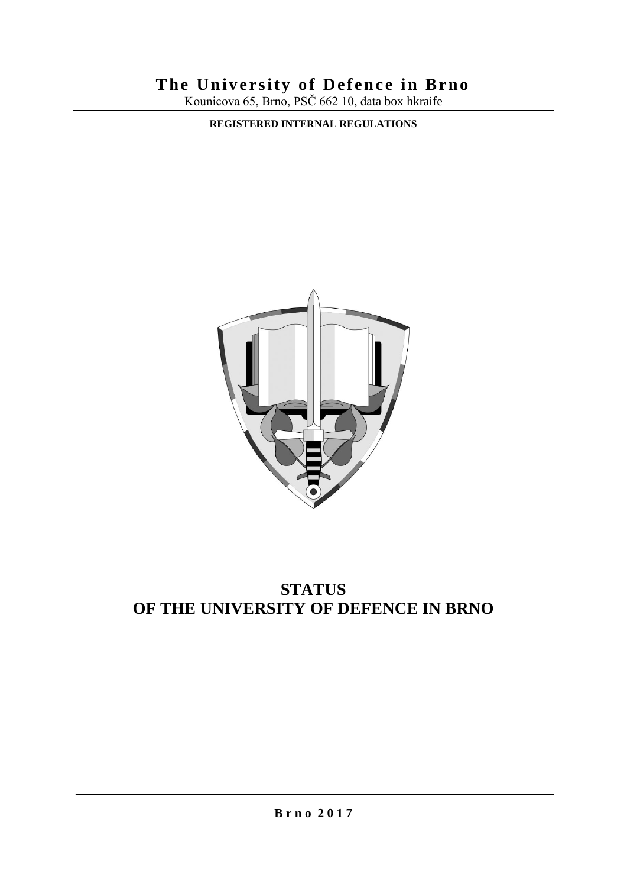# **The University of Defence in Brno**

Kounicova 65, Brno, PSČ 662 10, data box hkraife

**REGISTERED INTERNAL REGULATIONS**



# **STATUS OF THE UNIVERSITY OF DEFENCE IN BRNO**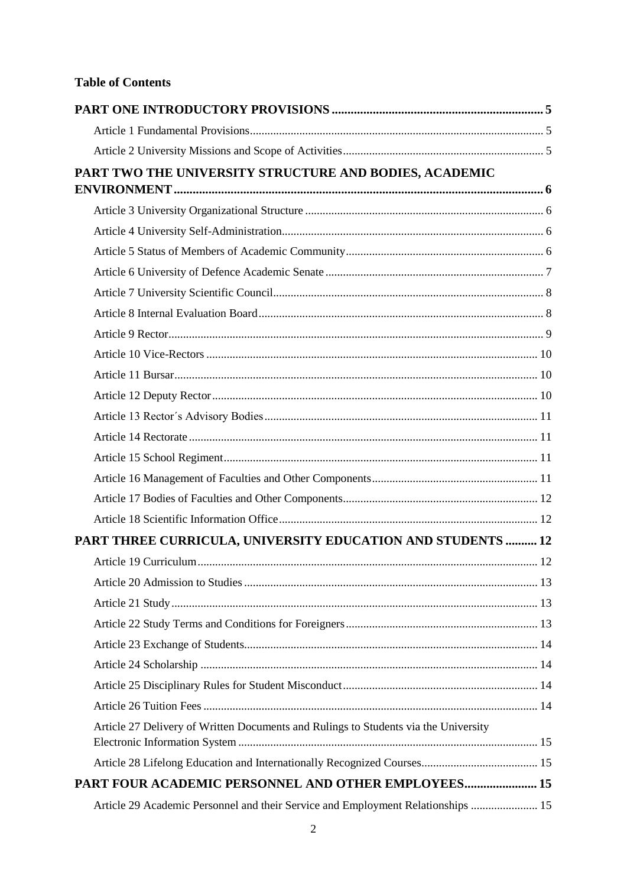# **Table of Contents**

| PART TWO THE UNIVERSITY STRUCTURE AND BODIES, ACADEMIC                              |  |
|-------------------------------------------------------------------------------------|--|
|                                                                                     |  |
|                                                                                     |  |
|                                                                                     |  |
|                                                                                     |  |
|                                                                                     |  |
|                                                                                     |  |
|                                                                                     |  |
|                                                                                     |  |
|                                                                                     |  |
|                                                                                     |  |
|                                                                                     |  |
|                                                                                     |  |
|                                                                                     |  |
|                                                                                     |  |
|                                                                                     |  |
|                                                                                     |  |
|                                                                                     |  |
| PART THREE CURRICULA, UNIVERSITY EDUCATION AND STUDENTS  12                         |  |
|                                                                                     |  |
|                                                                                     |  |
|                                                                                     |  |
|                                                                                     |  |
|                                                                                     |  |
|                                                                                     |  |
|                                                                                     |  |
|                                                                                     |  |
| Article 27 Delivery of Written Documents and Rulings to Students via the University |  |
|                                                                                     |  |
|                                                                                     |  |
| PART FOUR ACADEMIC PERSONNEL AND OTHER EMPLOYEES 15                                 |  |
| Article 29 Academic Personnel and their Service and Employment Relationships  15    |  |
|                                                                                     |  |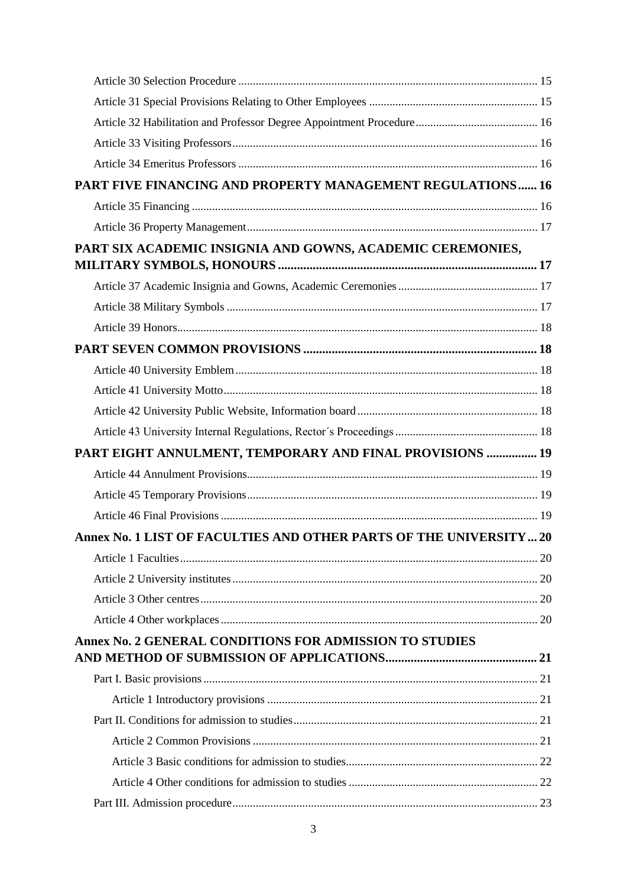| PART FIVE FINANCING AND PROPERTY MANAGEMENT REGULATIONS 16          |  |
|---------------------------------------------------------------------|--|
|                                                                     |  |
|                                                                     |  |
| PART SIX ACADEMIC INSIGNIA AND GOWNS, ACADEMIC CEREMONIES,          |  |
|                                                                     |  |
|                                                                     |  |
|                                                                     |  |
|                                                                     |  |
|                                                                     |  |
|                                                                     |  |
|                                                                     |  |
|                                                                     |  |
|                                                                     |  |
| PART EIGHT ANNULMENT, TEMPORARY AND FINAL PROVISIONS  19            |  |
|                                                                     |  |
|                                                                     |  |
|                                                                     |  |
| Annex No. 1 LIST OF FACULTIES AND OTHER PARTS OF THE UNIVERSITY  20 |  |
|                                                                     |  |
|                                                                     |  |
|                                                                     |  |
|                                                                     |  |
| Annex No. 2 GENERAL CONDITIONS FOR ADMISSION TO STUDIES             |  |
|                                                                     |  |
|                                                                     |  |
|                                                                     |  |
|                                                                     |  |
|                                                                     |  |
|                                                                     |  |
|                                                                     |  |
|                                                                     |  |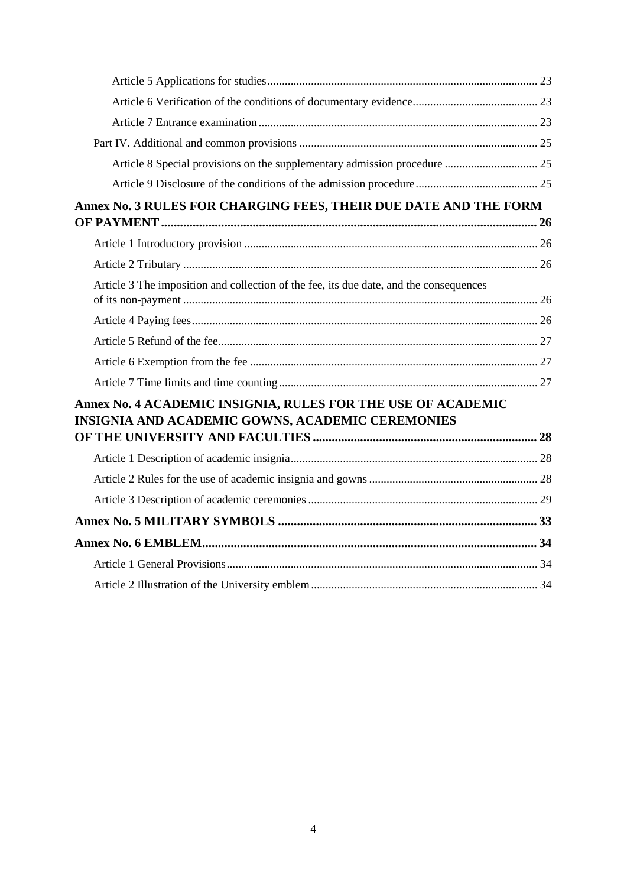| Annex No. 3 RULES FOR CHARGING FEES, THEIR DUE DATE AND THE FORM                                                 |  |
|------------------------------------------------------------------------------------------------------------------|--|
|                                                                                                                  |  |
|                                                                                                                  |  |
| Article 3 The imposition and collection of the fee, its due date, and the consequences                           |  |
|                                                                                                                  |  |
|                                                                                                                  |  |
|                                                                                                                  |  |
|                                                                                                                  |  |
| Annex No. 4 ACADEMIC INSIGNIA, RULES FOR THE USE OF ACADEMIC<br>INSIGNIA AND ACADEMIC GOWNS, ACADEMIC CEREMONIES |  |
|                                                                                                                  |  |
|                                                                                                                  |  |
|                                                                                                                  |  |
|                                                                                                                  |  |
|                                                                                                                  |  |
|                                                                                                                  |  |
|                                                                                                                  |  |
|                                                                                                                  |  |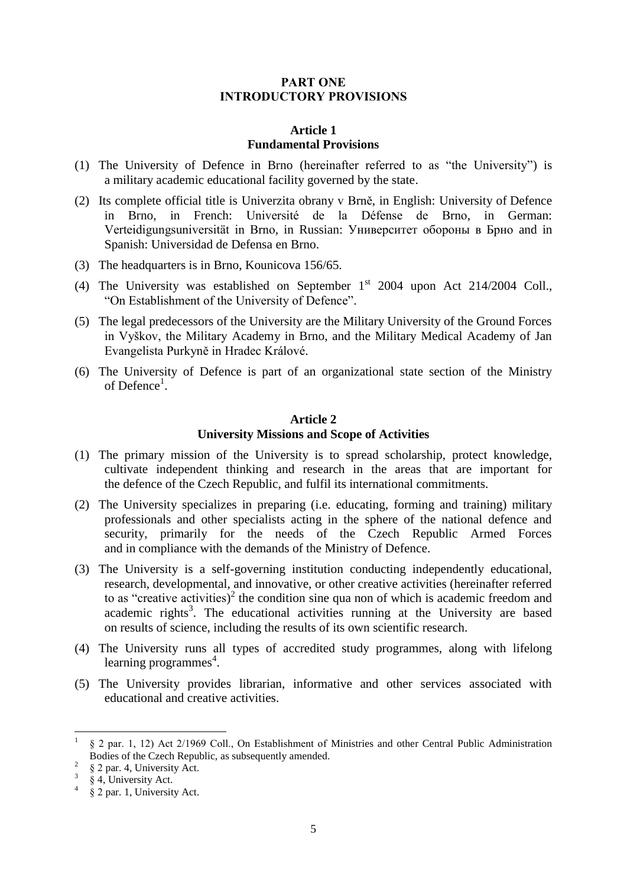## PART ONE INTRODUCTORY PROVISIONS

#### **Article 1 Fundamental Provisions**

- <span id="page-4-1"></span><span id="page-4-0"></span>(1) The University of Defence in Brno (hereinafter referred to as "the University") is a military academic educational facility governed by the state.
- (2) Its complete official title is Univerzita obrany v Brně, in English: University of Defence in Brno, in French: Université de la Défense de Brno, in German: Verteidigungsuniversität in Brno, in Russian: Университет обороны в Брно and in Spanish: Universidad de Defensa en Brno.
- (3) The headquarters is in Brno, Kounicova 156/65.
- (4) The University was established on September  $1<sup>st</sup>$  2004 upon Act 214/2004 Coll., "On Establishment of the University of Defence".
- (5) The legal predecessors of the University are the Military University of the Ground Forces in Vyškov, the Military Academy in Brno, and the Military Medical Academy of Jan Evangelista Purkyně in Hradec Králové.
- <span id="page-4-2"></span>(6) The University of Defence is part of an organizational state section of the Ministry of Defence<sup>1</sup>.

### **Article 2 University Missions and Scope of Activities**

- (1) The primary mission of the University is to spread scholarship, protect knowledge, cultivate independent thinking and research in the areas that are important for the defence of the Czech Republic, and fulfil its international commitments.
- (2) The University specializes in preparing (i.e. educating, forming and training) military professionals and other specialists acting in the sphere of the national defence and security, primarily for the needs of the Czech Republic Armed Forces and in compliance with the demands of the Ministry of Defence.
- (3) The University is a self-governing institution conducting independently educational, research, developmental, and innovative, or other creative activities (hereinafter referred to as "creative activities)<sup>2</sup> the condition sine qua non of which is academic freedom and academic rights<sup>3</sup>. The educational activities running at the University are based on results of science, including the results of its own scientific research.
- (4) The University runs all types of accredited study programmes, along with lifelong learning programmes<sup>4</sup>.
- (5) The University provides librarian, informative and other services associated with educational and creative activities.

 $\overline{\phantom{a}}$ 

<sup>1</sup> § 2 par. 1, 12) Act 2/1969 Coll., On Establishment of Ministries and other Central Public Administration Bodies of the Czech Republic, as subsequently amended.

<sup>2</sup> § 2 par. 4, University Act.

 $\dot{\S}$  4, University Act.

 $\frac{4}{9}$  § 2 par. 1, University Act.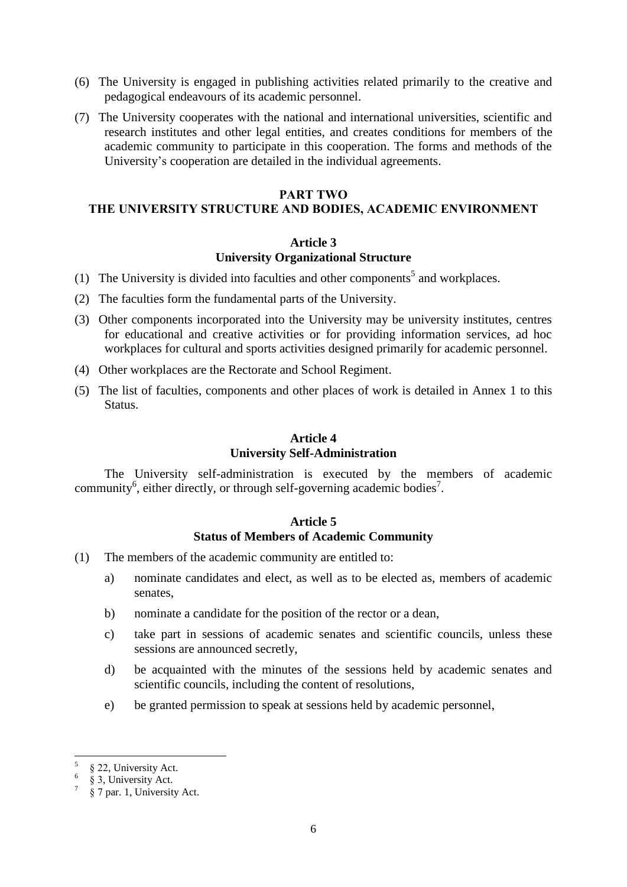- (6) The University is engaged in publishing activities related primarily to the creative and pedagogical endeavours of its academic personnel.
- (7) The University cooperates with the national and international universities, scientific and research institutes and other legal entities, and creates conditions for members of the academic community to participate in this cooperation. The forms and methods of the University's cooperation are detailed in the individual agreements.

#### PART TWO

# <span id="page-5-1"></span><span id="page-5-0"></span>THE UNIVERSITY STRUCTURE AND BODIES, ACADEMIC ENVIRONMENT

#### **Article 3**

#### **University Organizational Structure**

- (1) The University is divided into faculties and other components<sup>5</sup> and workplaces.
- (2) The faculties form the fundamental parts of the University.
- (3) Other components incorporated into the University may be university institutes, centres for educational and creative activities or for providing information services, ad hoc workplaces for cultural and sports activities designed primarily for academic personnel.
- (4) Other workplaces are the Rectorate and School Regiment.
- <span id="page-5-2"></span>(5) The list of faculties, components and other places of work is detailed in Annex 1 to this Status.

# **Article 4 University Self-Administration**

<span id="page-5-3"></span>The University self-administration is executed by the members of academic community<sup>6</sup>, either directly, or through self-governing academic bodies<sup>7</sup>.

# **Article 5 Status of Members of Academic Community**

- (1) The members of the academic community are entitled to:
	- a) nominate candidates and elect, as well as to be elected as, members of academic senates,
	- b) nominate a candidate for the position of the rector or a dean,
	- c) take part in sessions of academic senates and scientific councils, unless these sessions are announced secretly,
	- d) be acquainted with the minutes of the sessions held by academic senates and scientific councils, including the content of resolutions,
	- e) be granted permission to speak at sessions held by academic personnel,

 5 § 22, University Act.

<sup>6</sup> § 3, University Act. 7

<sup>§ 7</sup> par. 1, University Act.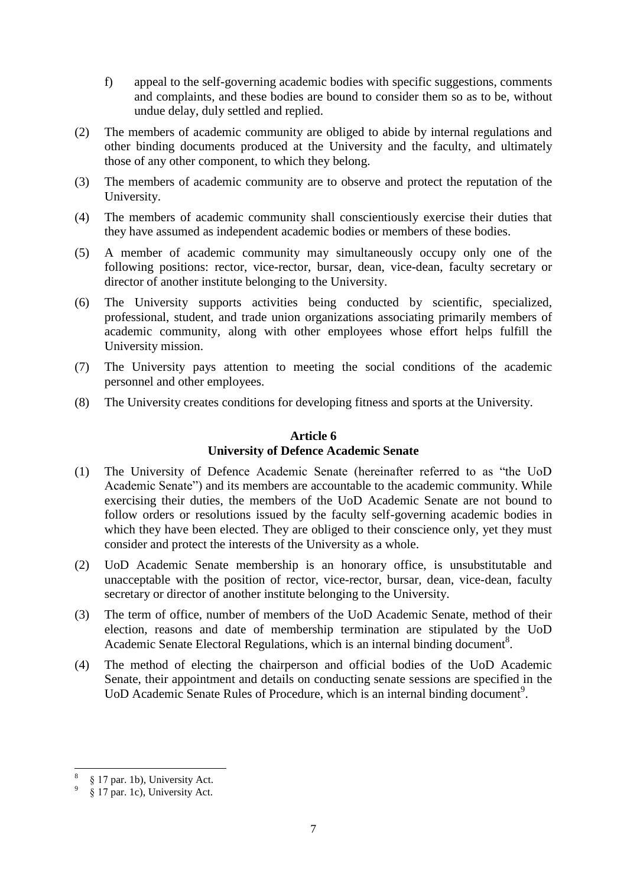- f) appeal to the self-governing academic bodies with specific suggestions, comments and complaints, and these bodies are bound to consider them so as to be, without undue delay, duly settled and replied.
- (2) The members of academic community are obliged to abide by internal regulations and other binding documents produced at the University and the faculty, and ultimately those of any other component, to which they belong.
- (3) The members of academic community are to observe and protect the reputation of the University.
- (4) The members of academic community shall conscientiously exercise their duties that they have assumed as independent academic bodies or members of these bodies.
- (5) A member of academic community may simultaneously occupy only one of the following positions: rector, vice-rector, bursar, dean, vice-dean, faculty secretary or director of another institute belonging to the University.
- (6) The University supports activities being conducted by scientific, specialized, professional, student, and trade union organizations associating primarily members of academic community, along with other employees whose effort helps fulfill the University mission.
- (7) The University pays attention to meeting the social conditions of the academic personnel and other employees.
- <span id="page-6-0"></span>(8) The University creates conditions for developing fitness and sports at the University.

#### **Article 6 University of Defence Academic Senate**

- (1) The University of Defence Academic Senate (hereinafter referred to as "the UoD Academic Senate") and its members are accountable to the academic community. While exercising their duties, the members of the UoD Academic Senate are not bound to follow orders or resolutions issued by the faculty self-governing academic bodies in which they have been elected. They are obliged to their conscience only, yet they must consider and protect the interests of the University as a whole.
- (2) UoD Academic Senate membership is an honorary office, is unsubstitutable and unacceptable with the position of rector, vice-rector, bursar, dean, vice-dean, faculty secretary or director of another institute belonging to the University.
- (3) The term of office, number of members of the UoD Academic Senate, method of their election, reasons and date of membership termination are stipulated by the UoD Academic Senate Electoral Regulations, which is an internal binding document<sup>8</sup>.
- (4) The method of electing the chairperson and official bodies of the UoD Academic Senate, their appointment and details on conducting senate sessions are specified in the UoD Academic Senate Rules of Procedure, which is an internal binding document<sup>9</sup>.

 $\overline{a}$ 8 § 17 par. 1b), University Act.

<sup>9</sup> § 17 par. 1c), University Act.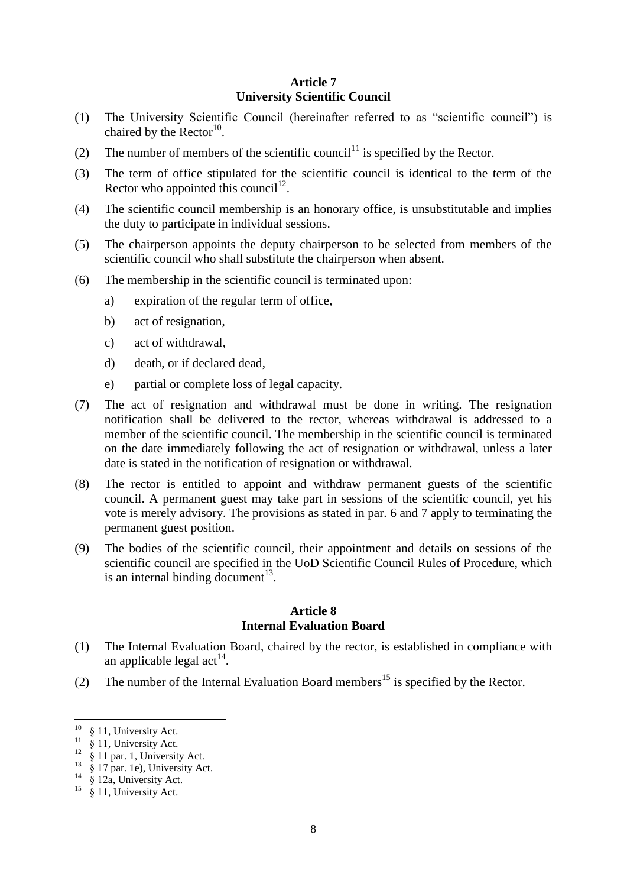# **Article 7 University Scientific Council**

- <span id="page-7-0"></span>(1) The University Scientific Council (hereinafter referred to as "scientific council") is chaired by the  $\text{Rector}^{10}$ .
- (2) The number of members of the scientific council<sup>11</sup> is specified by the Rector.
- (3) The term of office stipulated for the scientific council is identical to the term of the Rector who appointed this council<sup>12</sup>.
- (4) The scientific council membership is an honorary office, is unsubstitutable and implies the duty to participate in individual sessions.
- (5) The chairperson appoints the deputy chairperson to be selected from members of the scientific council who shall substitute the chairperson when absent.
- (6) The membership in the scientific council is terminated upon:
	- a) expiration of the regular term of office,
	- b) act of resignation,
	- c) act of withdrawal,
	- d) death, or if declared dead,
	- e) partial or complete loss of legal capacity.
- (7) The act of resignation and withdrawal must be done in writing. The resignation notification shall be delivered to the rector, whereas withdrawal is addressed to a member of the scientific council. The membership in the scientific council is terminated on the date immediately following the act of resignation or withdrawal, unless a later date is stated in the notification of resignation or withdrawal.
- (8) The rector is entitled to appoint and withdraw permanent guests of the scientific council. A permanent guest may take part in sessions of the scientific council, yet his vote is merely advisory. The provisions as stated in par. 6 and 7 apply to terminating the permanent guest position.
- (9) The bodies of the scientific council, their appointment and details on sessions of the scientific council are specified in the UoD Scientific Council Rules of Procedure, which is an internal binding document $^{13}$ .

#### **Article 8 Internal Evaluation Board**

- <span id="page-7-1"></span>(1) The Internal Evaluation Board, chaired by the rector, is established in compliance with an applicable legal  $act<sup>14</sup>$ .
- (2) The number of the Internal Evaluation Board members<sup>15</sup> is specified by the Rector.

 $\overline{a}$ 

 $10 \& 11$ , University Act.

 $\frac{8}{9}$  11, University Act.

 $12 \frac{8}{9}$  11 par. 1, University Act.

 $\frac{13}{8}$   $\frac{8}{17}$  par. 1e), University Act.

 $14 \times 12a$ , University Act.

 $15 \times 11$ , University Act.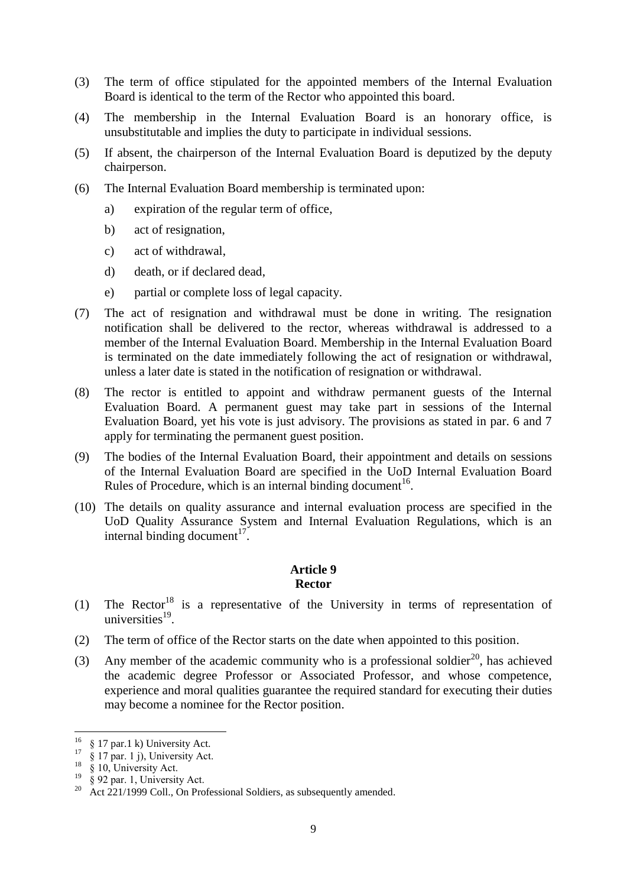- (3) The term of office stipulated for the appointed members of the Internal Evaluation Board is identical to the term of the Rector who appointed this board.
- (4) The membership in the Internal Evaluation Board is an honorary office, is unsubstitutable and implies the duty to participate in individual sessions.
- (5) If absent, the chairperson of the Internal Evaluation Board is deputized by the deputy chairperson.
- (6) The Internal Evaluation Board membership is terminated upon:
	- a) expiration of the regular term of office,
	- b) act of resignation,
	- c) act of withdrawal,
	- d) death, or if declared dead,
	- e) partial or complete loss of legal capacity.
- (7) The act of resignation and withdrawal must be done in writing. The resignation notification shall be delivered to the rector, whereas withdrawal is addressed to a member of the Internal Evaluation Board. Membership in the Internal Evaluation Board is terminated on the date immediately following the act of resignation or withdrawal, unless a later date is stated in the notification of resignation or withdrawal.
- (8) The rector is entitled to appoint and withdraw permanent guests of the Internal Evaluation Board. A permanent guest may take part in sessions of the Internal Evaluation Board, yet his vote is just advisory. The provisions as stated in par. 6 and 7 apply for terminating the permanent guest position.
- (9) The bodies of the Internal Evaluation Board, their appointment and details on sessions of the Internal Evaluation Board are specified in the UoD Internal Evaluation Board Rules of Procedure, which is an internal binding document<sup>16</sup>.
- <span id="page-8-0"></span>(10) The details on quality assurance and internal evaluation process are specified in the UoD Quality Assurance System and Internal Evaluation Regulations, which is an internal binding document $17$ .

# **Article 9 Rector**

- (1) The Rector<sup>18</sup> is a representative of the University in terms of representation of universities $^{19}$ .
- (2) The term of office of the Rector starts on the date when appointed to this position.
- (3) Any member of the academic community who is a professional soldier<sup>20</sup>, has achieved the academic degree Professor or Associated Professor, and whose competence, experience and moral qualities guarantee the required standard for executing their duties may become a nominee for the Rector position.

 $\overline{\phantom{a}}$ 

 $^{16}$  § 17 par.1 k) University Act.

 $17 \frac{8}{9}$  17 par. 1 j), University Act.

<sup>&</sup>lt;sup>18</sup> § 10, University Act.

 $19\degree\%$  92 par. 1, University Act.

<sup>&</sup>lt;sup>20</sup> Act 221/1999 Coll., On Professional Soldiers, as subsequently amended.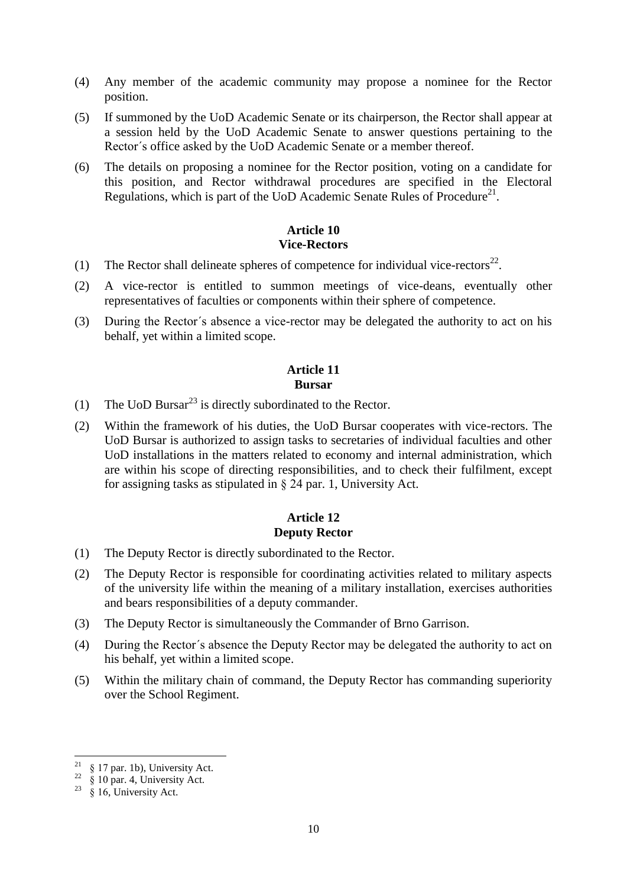- (4) Any member of the academic community may propose a nominee for the Rector position.
- (5) If summoned by the UoD Academic Senate or its chairperson, the Rector shall appear at a session held by the UoD Academic Senate to answer questions pertaining to the Rector´s office asked by the UoD Academic Senate or a member thereof.
- (6) The details on proposing a nominee for the Rector position, voting on a candidate for this position, and Rector withdrawal procedures are specified in the Electoral Regulations, which is part of the UoD Academic Senate Rules of Procedure<sup>21</sup>.

# **Article 10 Vice-Rectors**

- <span id="page-9-0"></span>(1) The Rector shall delineate spheres of competence for individual vice-rectors<sup>22</sup>.
- (2) A vice-rector is entitled to summon meetings of vice-deans, eventually other representatives of faculties or components within their sphere of competence.
- <span id="page-9-1"></span>(3) During the Rector´s absence a vice-rector may be delegated the authority to act on his behalf, yet within a limited scope.

#### **Article 11 Bursar**

- (1) The UoD Bursar<sup>23</sup> is directly subordinated to the Rector.
- (2) Within the framework of his duties, the UoD Bursar cooperates with vice-rectors. The UoD Bursar is authorized to assign tasks to secretaries of individual faculties and other UoD installations in the matters related to economy and internal administration, which are within his scope of directing responsibilities, and to check their fulfilment, except for assigning tasks as stipulated in § 24 par. 1, University Act.

# **Article 12 Deputy Rector**

- <span id="page-9-2"></span>(1) The Deputy Rector is directly subordinated to the Rector.
- (2) The Deputy Rector is responsible for coordinating activities related to military aspects of the university life within the meaning of a military installation, exercises authorities and bears responsibilities of a deputy commander.
- (3) The Deputy Rector is simultaneously the Commander of Brno Garrison.
- (4) During the Rector´s absence the Deputy Rector may be delegated the authority to act on his behalf, yet within a limited scope.
- (5) Within the military chain of command, the Deputy Rector has commanding superiority over the School Regiment.

l

<sup>§ 17</sup> par. 1b), University Act.

 $22 \frac{1}{8}$  10 par. 4, University Act.

<sup>&</sup>lt;sup>23</sup>  $\sin^2$  16, University Act.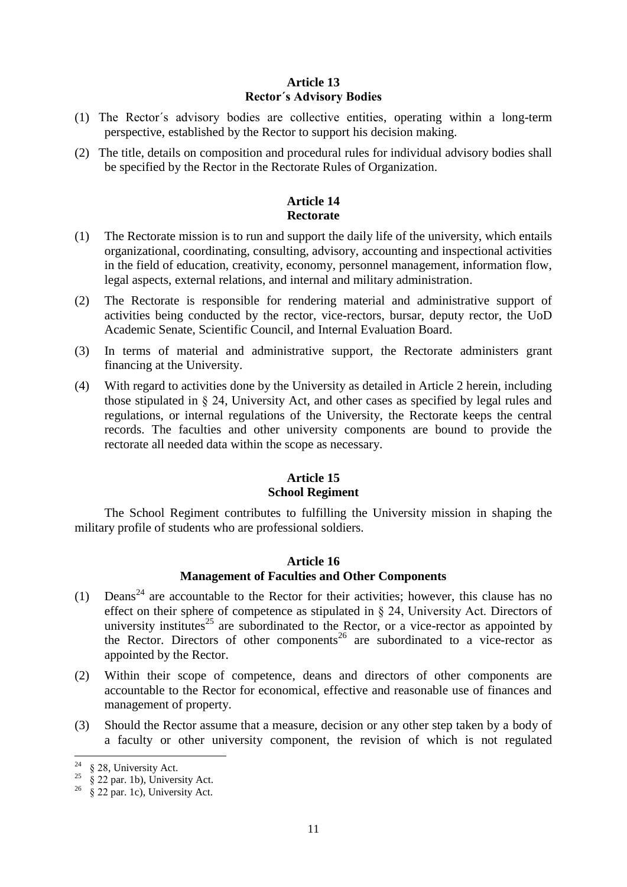# **Article 13 Rector´s Advisory Bodies**

- <span id="page-10-0"></span>(1) The Rector´s advisory bodies are collective entities, operating within a long-term perspective, established by the Rector to support his decision making.
- <span id="page-10-1"></span>(2) The title, details on composition and procedural rules for individual advisory bodies shall be specified by the Rector in the Rectorate Rules of Organization.

# **Article 14 Rectorate**

- (1) The Rectorate mission is to run and support the daily life of the university, which entails organizational, coordinating, consulting, advisory, accounting and inspectional activities in the field of education, creativity, economy, personnel management, information flow, legal aspects, external relations, and internal and military administration.
- (2) The Rectorate is responsible for rendering material and administrative support of activities being conducted by the rector, vice-rectors, bursar, deputy rector, the UoD Academic Senate, Scientific Council, and Internal Evaluation Board.
- (3) In terms of material and administrative support, the Rectorate administers grant financing at the University.
- (4) With regard to activities done by the University as detailed in Article 2 herein, including those stipulated in § 24, University Act, and other cases as specified by legal rules and regulations, or internal regulations of the University, the Rectorate keeps the central records. The faculties and other university components are bound to provide the rectorate all needed data within the scope as necessary.

# **Article 15 School Regiment**

<span id="page-10-3"></span><span id="page-10-2"></span>The School Regiment contributes to fulfilling the University mission in shaping the military profile of students who are professional soldiers.

# **Article 16**

# **Management of Faculties and Other Components**

- (1) Deans<sup>24</sup> are accountable to the Rector for their activities; however, this clause has no effect on their sphere of competence as stipulated in § 24, University Act. Directors of university institutes<sup>25</sup> are subordinated to the Rector, or a vice-rector as appointed by the Rector. Directors of other components<sup>26</sup> are subordinated to a vice-rector as appointed by the Rector.
- (2) Within their scope of competence, deans and directors of other components are accountable to the Rector for economical, effective and reasonable use of finances and management of property.
- (3) Should the Rector assume that a measure, decision or any other step taken by a body of a faculty or other university component, the revision of which is not regulated

<sup>24</sup> § 28, University Act.

 $\frac{25}{8}$   $\frac{8}{22}$  par. 1b), University Act.

 $26 \times 22$  par. 1c), University Act.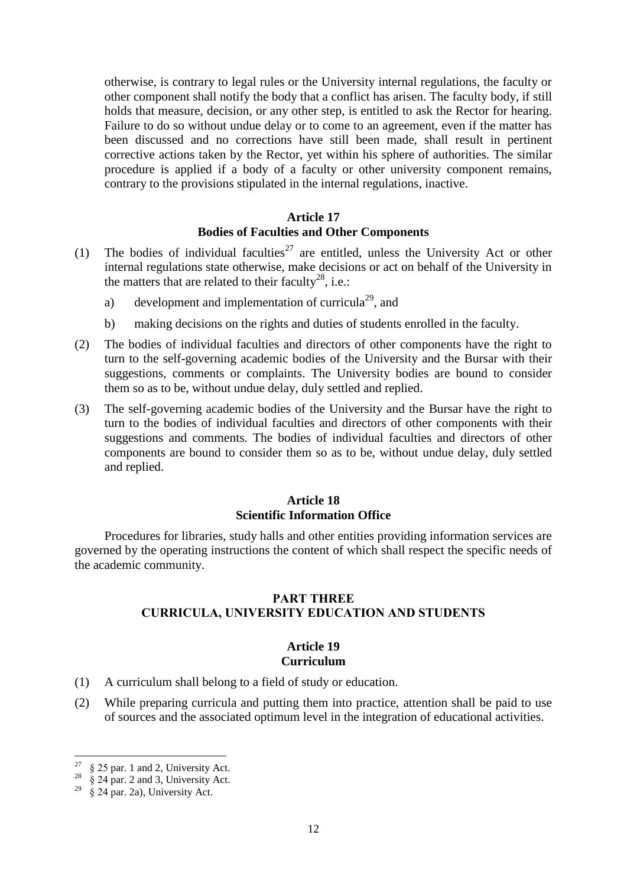otherwise, is contrary to legal rules or the University internal regulations, the faculty or other component shall notify the body that a conflict has arisen. The faculty body, if still holds that measure, decision, or any other step, is entitled to ask the Rector for hearing. Failure to do so without undue delay or to come to an agreement, even if the matter has been discussed and no corrections have still been made, shall result in pertinent corrective actions taken by the Rector, yet within his sphere of authorities. The similar procedure is applied if a body of a faculty or other university component remains, contrary to the provisions stipulated in the internal regulations, inactive.

## **Article 17 Bodies of Faculties and Other Components**

- <span id="page-11-0"></span>(1) The bodies of individual faculties<sup>27</sup> are entitled, unless the University Act or other internal regulations state otherwise, make decisions or act on behalf of the University in the matters that are related to their faculty<sup>28</sup>, i.e.:
	- a) development and implementation of curricula<sup>29</sup>, and
	- b) making decisions on the rights and duties of students enrolled in the faculty.
- (2) The bodies of individual faculties and directors of other components have the right to turn to the self-governing academic bodies of the University and the Bursar with their suggestions, comments or complaints. The University bodies are bound to consider them so as to be, without undue delay, duly settled and replied.
- (3) The self-governing academic bodies of the University and the Bursar have the right to turn to the bodies of individual faculties and directors of other components with their suggestions and comments. The bodies of individual faculties and directors of other components are bound to consider them so as to be, without undue delay, duly settled and replied.

# **Article 18 Scientific Information Office**

<span id="page-11-2"></span><span id="page-11-1"></span>Procedures for libraries, study halls and other entities providing information services are governed by the operating instructions the content of which shall respect the specific needs of the academic community.

# PART THREE CURRICULA, UNIVERSITY EDUCATION AND STUDENTS

### **Article 19 Curriculum**

- <span id="page-11-3"></span>(1) A curriculum shall belong to a field of study or education.
- (2) While preparing curricula and putting them into practice, attention shall be paid to use of sources and the associated optimum level in the integration of educational activities.

l

<sup>§ 25</sup> par. 1 and 2, University Act.

 $28 \times 24$  par. 2 and 3, University Act.

 $29 \times 24$  par. 2a), University Act.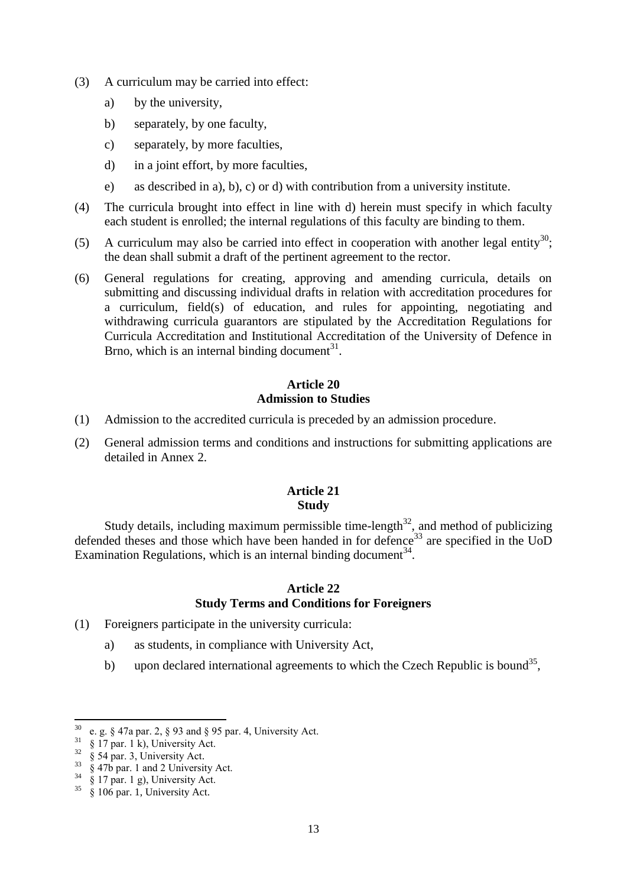- (3) A curriculum may be carried into effect:
	- a) by the university,
	- b) separately, by one faculty,
	- c) separately, by more faculties,
	- d) in a joint effort, by more faculties,
	- e) as described in a), b), c) or d) with contribution from a university institute.
- (4) The curricula brought into effect in line with d) herein must specify in which faculty each student is enrolled; the internal regulations of this faculty are binding to them.
- (5) A curriculum may also be carried into effect in cooperation with another legal entity<sup>30</sup>; the dean shall submit a draft of the pertinent agreement to the rector.
- (6) General regulations for creating, approving and amending curricula, details on submitting and discussing individual drafts in relation with accreditation procedures for a curriculum, field(s) of education, and rules for appointing, negotiating and withdrawing curricula guarantors are stipulated by the Accreditation Regulations for Curricula Accreditation and Institutional Accreditation of the University of Defence in Brno, which is an internal binding document<sup>31</sup>.

## **Article 20 Admission to Studies**

- <span id="page-12-0"></span>(1) Admission to the accredited curricula is preceded by an admission procedure.
- <span id="page-12-1"></span>(2) General admission terms and conditions and instructions for submitting applications are detailed in Annex 2.

## **Article 21 Study**

Study details, including maximum permissible time-length<sup>32</sup>, and method of publicizing defended theses and those which have been handed in for defence<sup>33</sup> are specified in the UoD Examination Regulations, which is an internal binding document<sup>34</sup>.

#### **Article 22 Study Terms and Conditions for Foreigners**

- <span id="page-12-2"></span>(1) Foreigners participate in the university curricula:
	- a) as students, in compliance with University Act,
	- b) upon declared international agreements to which the Czech Republic is bound<sup>35</sup>,

 $\overline{a}$ 

e. g. § 47a par. 2, § 93 and § 95 par. 4, University Act.

 $31 \quad \text{\$}$  17 par. 1 k), University Act.

 $32 \frac{8}{9}$  54 par. 3, University Act.

 $33\frac{8}{9}$  47b par. 1 and 2 University Act.

 $34\frac{8}{9}$  17 par. 1 g), University Act.

 $\frac{35}{8}$   $\frac{8}{8}$  106 par. 1, University Act.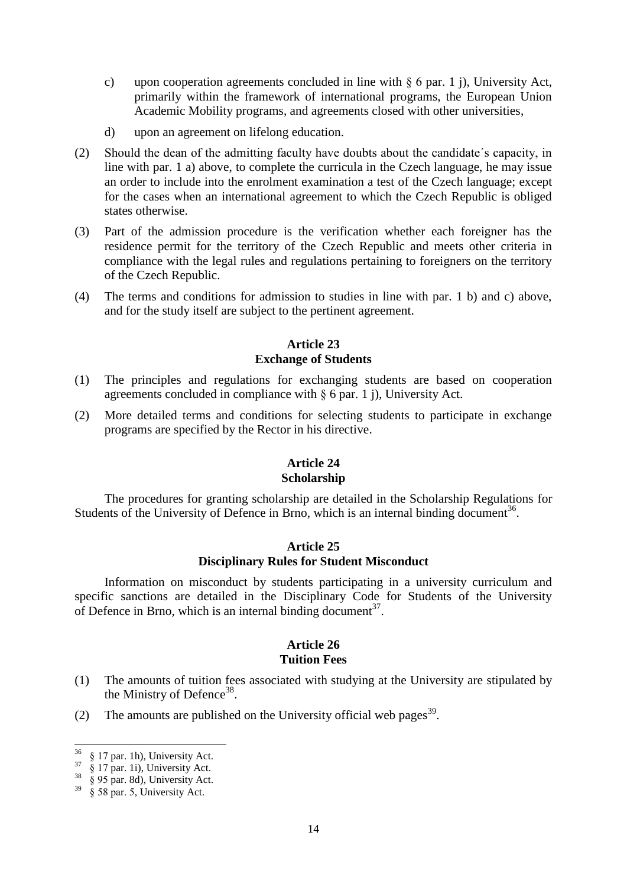- c) upon cooperation agreements concluded in line with § 6 par. 1 j), University Act, primarily within the framework of international programs, the European Union Academic Mobility programs, and agreements closed with other universities,
- d) upon an agreement on lifelong education.
- (2) Should the dean of the admitting faculty have doubts about the candidate´s capacity, in line with par. 1 a) above, to complete the curricula in the Czech language, he may issue an order to include into the enrolment examination a test of the Czech language; except for the cases when an international agreement to which the Czech Republic is obliged states otherwise.
- (3) Part of the admission procedure is the verification whether each foreigner has the residence permit for the territory of the Czech Republic and meets other criteria in compliance with the legal rules and regulations pertaining to foreigners on the territory of the Czech Republic.
- <span id="page-13-0"></span>(4) The terms and conditions for admission to studies in line with par. 1 b) and c) above, and for the study itself are subject to the pertinent agreement.

# **Article 23 Exchange of Students**

- (1) The principles and regulations for exchanging students are based on cooperation agreements concluded in compliance with  $\S$  6 par. 1 j), University Act.
- <span id="page-13-1"></span>(2) More detailed terms and conditions for selecting students to participate in exchange programs are specified by the Rector in his directive.

### **Article 24 Scholarship**

<span id="page-13-2"></span>The procedures for granting scholarship are detailed in the Scholarship Regulations for Students of the University of Defence in Brno, which is an internal binding document<sup>36</sup>.

## **Article 25 Disciplinary Rules for Student Misconduct**

<span id="page-13-3"></span>Information on misconduct by students participating in a university curriculum and specific sanctions are detailed in the Disciplinary Code for Students of the University of Defence in Brno, which is an internal binding document<sup>37</sup>.

#### **Article 26 Tuition Fees**

- (1) The amounts of tuition fees associated with studying at the University are stipulated by the Ministry of Defence<sup>38</sup>.
- (2) The amounts are published on the University official web pages<sup>39</sup>.

 $\overline{\phantom{a}}$  $36 \& 17$  par. 1h), University Act.

 $37 \times 17$  par. 1i), University Act.

 $\frac{38}{8}$  § 95 par. 8d), University Act.

 $39 \times 58$  par. 5, University Act.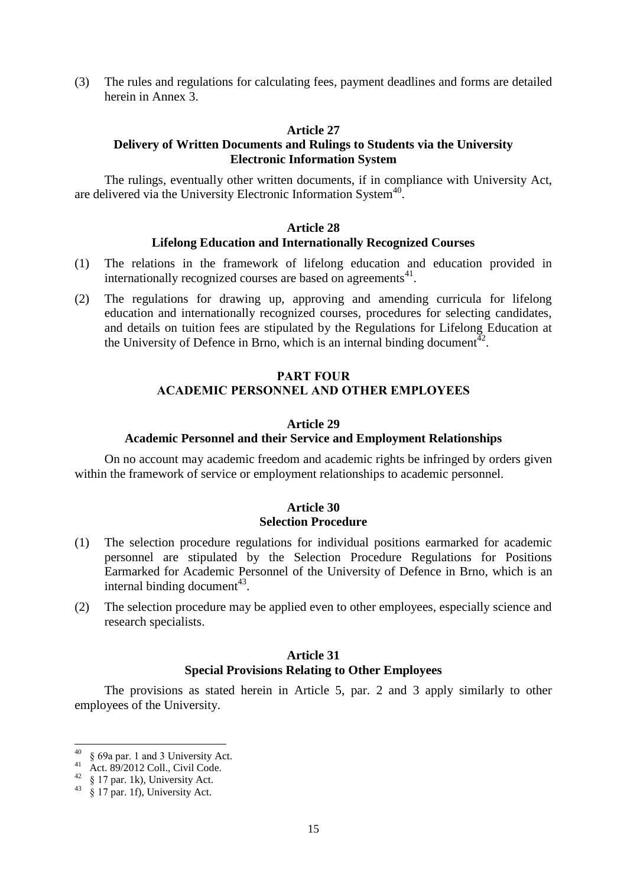<span id="page-14-0"></span>(3) The rules and regulations for calculating fees, payment deadlines and forms are detailed herein in Annex 3.

#### **Article 27**

#### **Delivery of Written Documents and Rulings to Students via the University Electronic Information System**

<span id="page-14-1"></span>The rulings, eventually other written documents, if in compliance with University Act, are delivered via the University Electronic Information System<sup>40</sup>.

#### **Article 28**

#### **Lifelong Education and Internationally Recognized Courses**

- (1) The relations in the framework of lifelong education and education provided in internationally recognized courses are based on agreements<sup>41</sup>.
- <span id="page-14-2"></span>(2) The regulations for drawing up, approving and amending curricula for lifelong education and internationally recognized courses, procedures for selecting candidates, and details on tuition fees are stipulated by the Regulations for Lifelong Education at the University of Defence in Brno, which is an internal binding document<sup> $42$ </sup>.

## PART FOUR ACADEMIC PERSONNEL AND OTHER EMPLOYEES

#### **Article 29**

#### **Academic Personnel and their Service and Employment Relationships**

<span id="page-14-4"></span><span id="page-14-3"></span>On no account may academic freedom and academic rights be infringed by orders given within the framework of service or employment relationships to academic personnel.

#### **Article 30 Selection Procedure**

- (1) The selection procedure regulations for individual positions earmarked for academic personnel are stipulated by the Selection Procedure Regulations for Positions Earmarked for Academic Personnel of the University of Defence in Brno, which is an internal binding document $43$ .
- <span id="page-14-5"></span>(2) The selection procedure may be applied even to other employees, especially science and research specialists.

#### **Article 31**

#### **Special Provisions Relating to Other Employees**

The provisions as stated herein in Article 5, par. 2 and 3 apply similarly to other employees of the University.

<sup>40</sup> <sup>40</sup> § 69a par. 1 and 3 University Act.

<sup>41</sup> Act. 89/2012 Coll., Civil Code.

<sup>42</sup> § 17 par. 1k), University Act.

 $43\frac{8}{8}$  17 par. 1f), University Act.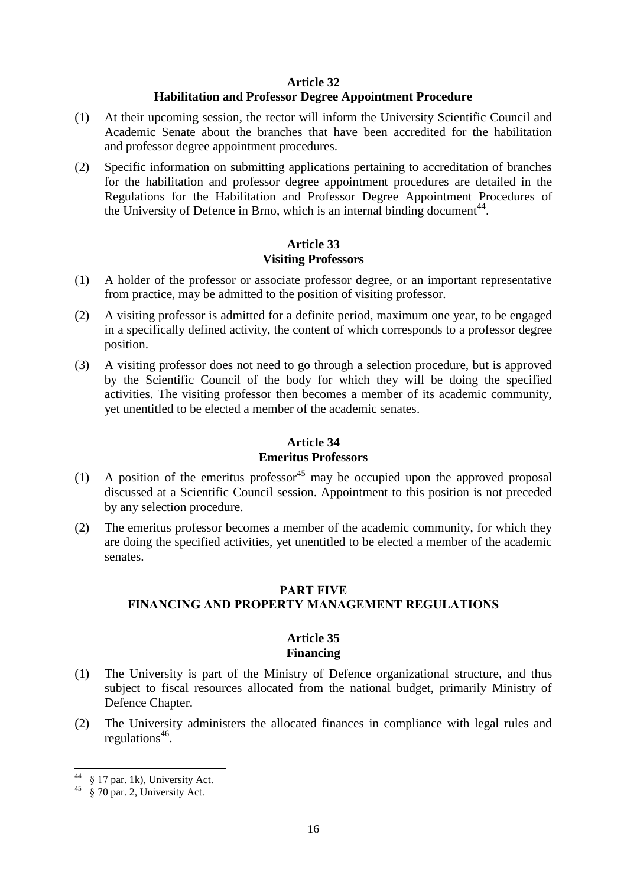#### **Article 32**

#### **Habilitation and Professor Degree Appointment Procedure**

- <span id="page-15-0"></span>(1) At their upcoming session, the rector will inform the University Scientific Council and Academic Senate about the branches that have been accredited for the habilitation and professor degree appointment procedures.
- (2) Specific information on submitting applications pertaining to accreditation of branches for the habilitation and professor degree appointment procedures are detailed in the Regulations for the Habilitation and Professor Degree Appointment Procedures of the University of Defence in Brno, which is an internal binding document<sup>44</sup>.

# **Article 33 Visiting Professors**

- <span id="page-15-1"></span>(1) A holder of the professor or associate professor degree, or an important representative from practice, may be admitted to the position of visiting professor.
- (2) A visiting professor is admitted for a definite period, maximum one year, to be engaged in a specifically defined activity, the content of which corresponds to a professor degree position.
- (3) A visiting professor does not need to go through a selection procedure, but is approved by the Scientific Council of the body for which they will be doing the specified activities. The visiting professor then becomes a member of its academic community, yet unentitled to be elected a member of the academic senates.

#### **Article 34 Emeritus Professors**

- <span id="page-15-2"></span>(1) A position of the emeritus professor<sup>45</sup> may be occupied upon the approved proposal discussed at a Scientific Council session. Appointment to this position is not preceded by any selection procedure.
- <span id="page-15-3"></span>(2) The emeritus professor becomes a member of the academic community, for which they are doing the specified activities, yet unentitled to be elected a member of the academic senates.

# PART FIVE FINANCING AND PROPERTY MANAGEMENT REGULATIONS

### **Article 35 Financing**

- <span id="page-15-4"></span>(1) The University is part of the Ministry of Defence organizational structure, and thus subject to fiscal resources allocated from the national budget, primarily Ministry of Defence Chapter.
- (2) The University administers the allocated finances in compliance with legal rules and regulations<sup>46</sup>.

 $\overline{a}$ <sup>44</sup> § 17 par. 1k), University Act.

 $45 \times 70$  par. 2, University Act.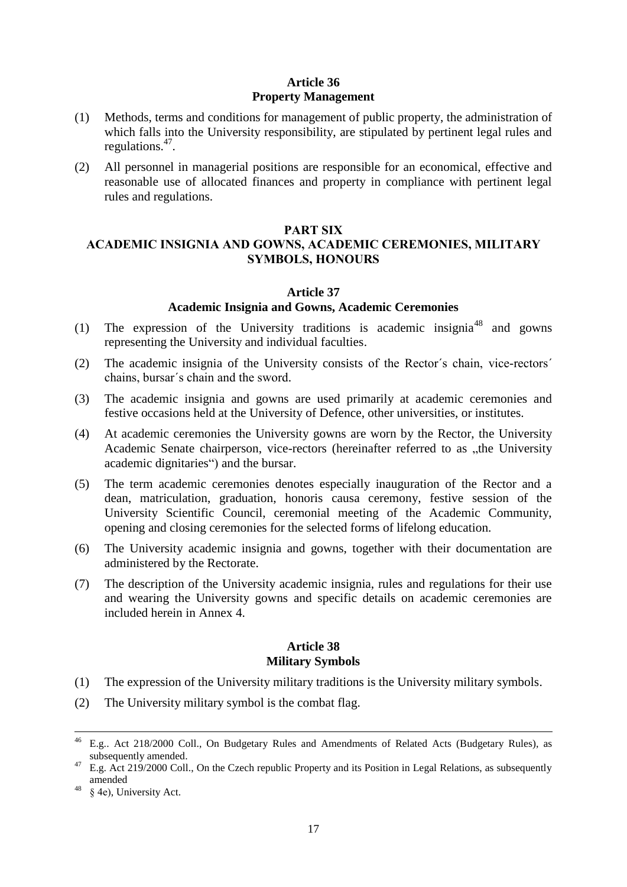# **Article 36 Property Management**

- <span id="page-16-0"></span>(1) Methods, terms and conditions for management of public property, the administration of which falls into the University responsibility, are stipulated by pertinent legal rules and regulations.<sup>47</sup>.
- (2) All personnel in managerial positions are responsible for an economical, effective and reasonable use of allocated finances and property in compliance with pertinent legal rules and regulations.

#### PART SIX

## <span id="page-16-2"></span><span id="page-16-1"></span>ACADEMIC INSIGNIA AND GOWNS, ACADEMIC CEREMONIES, MILITARY SYMBOLS, HONOURS

#### **Article 37**

#### **Academic Insignia and Gowns, Academic Ceremonies**

- (1) The expression of the University traditions is academic insignia<sup>48</sup> and gowns representing the University and individual faculties.
- (2) The academic insignia of the University consists of the Rector´s chain, vice-rectors´ chains, bursar´s chain and the sword.
- (3) The academic insignia and gowns are used primarily at academic ceremonies and festive occasions held at the University of Defence, other universities, or institutes.
- (4) At academic ceremonies the University gowns are worn by the Rector, the University Academic Senate chairperson, vice-rectors (hereinafter referred to as "the University academic dignitaries") and the bursar.
- (5) The term academic ceremonies denotes especially inauguration of the Rector and a dean, matriculation, graduation, honoris causa ceremony, festive session of the University Scientific Council, ceremonial meeting of the Academic Community, opening and closing ceremonies for the selected forms of lifelong education.
- (6) The University academic insignia and gowns, together with their documentation are administered by the Rectorate.
- <span id="page-16-3"></span>(7) The description of the University academic insignia, rules and regulations for their use and wearing the University gowns and specific details on academic ceremonies are included herein in Annex 4.

#### **Article 38 Military Symbols**

- (1) The expression of the University military traditions is the University military symbols.
- (2) The University military symbol is the combat flag.

 $\overline{\phantom{a}}$ 

<sup>&</sup>lt;sup>46</sup> E.g.. Act 218/2000 Coll., On Budgetary Rules and Amendments of Related Acts (Budgetary Rules), as subsequently amended.

 $47$  E.g. Act 219/2000 Coll., On the Czech republic Property and its Position in Legal Relations, as subsequently amended

 $48$  § 4e), University Act.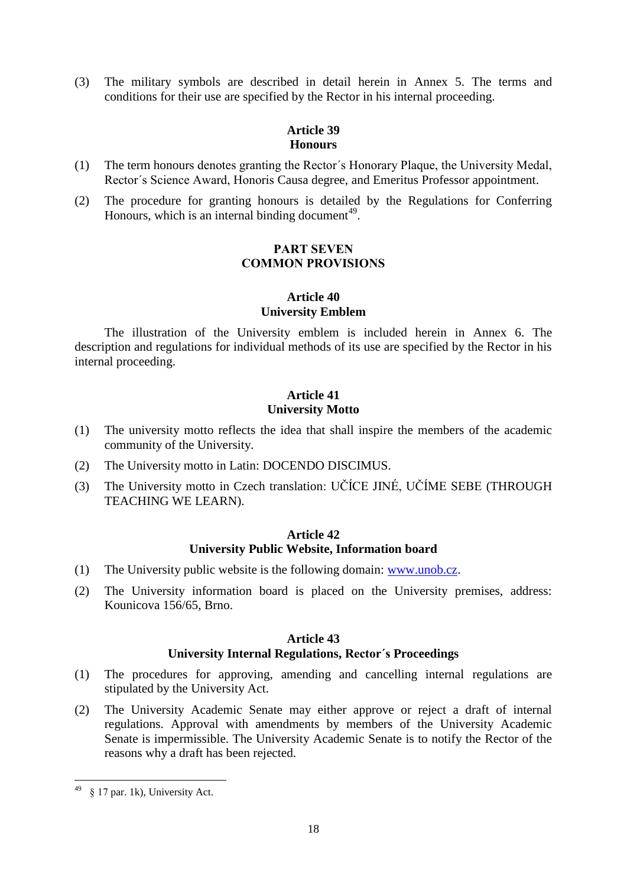<span id="page-17-0"></span>(3) The military symbols are described in detail herein in Annex 5. The terms and conditions for their use are specified by the Rector in his internal proceeding.

# **Article 39 Honours**

- (1) The term honours denotes granting the Rector´s Honorary Plaque, the University Medal, Rector´s Science Award, Honoris Causa degree, and Emeritus Professor appointment.
- <span id="page-17-1"></span>(2) The procedure for granting honours is detailed by the Regulations for Conferring Honours, which is an internal binding document $49$ .

# PART SEVEN COMMON PROVISIONS

### **Article 40 University Emblem**

<span id="page-17-2"></span>The illustration of the University emblem is included herein in Annex 6. The description and regulations for individual methods of its use are specified by the Rector in his internal proceeding.

# **Article 41 University Motto**

- <span id="page-17-3"></span>(1) The university motto reflects the idea that shall inspire the members of the academic community of the University.
- (2) The University motto in Latin: DOCENDO DISCIMUS.
- <span id="page-17-4"></span>(3) The University motto in Czech translation: UČÍCE JINÉ, UČÍME SEBE (THROUGH TEACHING WE LEARN).

# **Article 42 University Public Website, Information board**

- (1) The University public website is the following domain: [www.unob.cz.](http://www.unob.cz/)
- <span id="page-17-5"></span>(2) The University information board is placed on the University premises, address: Kounicova 156/65, Brno.

# **Article 43**

# **University Internal Regulations, Rector´s Proceedings**

- (1) The procedures for approving, amending and cancelling internal regulations are stipulated by the University Act.
- (2) The University Academic Senate may either approve or reject a draft of internal regulations. Approval with amendments by members of the University Academic Senate is impermissible. The University Academic Senate is to notify the Rector of the reasons why a draft has been rejected.

<sup>49</sup> <sup>49</sup> § 17 par. 1k), University Act.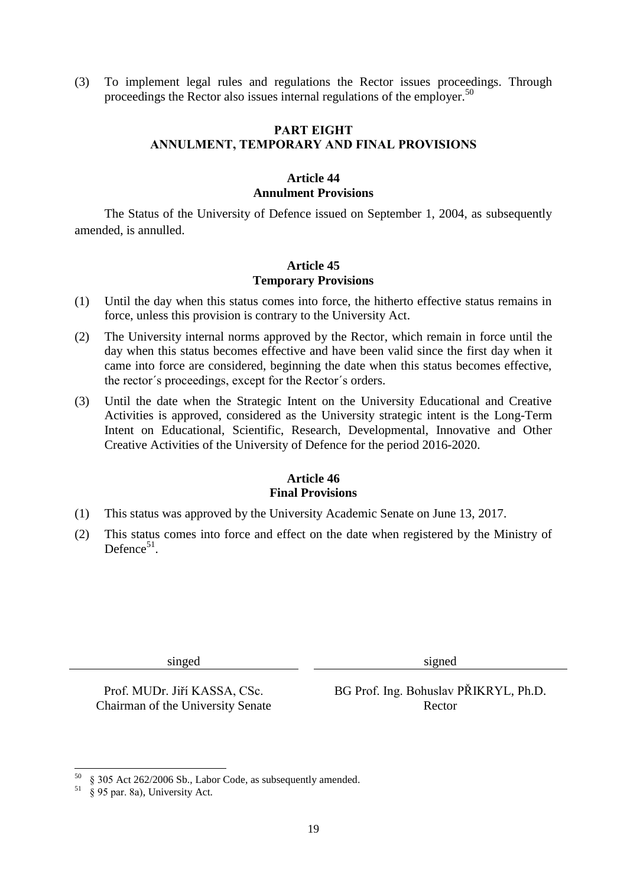<span id="page-18-0"></span>(3) To implement legal rules and regulations the Rector issues proceedings. Through proceedings the Rector also issues internal regulations of the employer.<sup>50</sup>

## PART EIGHT ANNULMENT, TEMPORARY AND FINAL PROVISIONS

#### **Article 44 Annulment Provisions**

<span id="page-18-2"></span><span id="page-18-1"></span>The Status of the University of Defence issued on September 1, 2004, as subsequently amended, is annulled.

# **Article 45 Temporary Provisions**

- (1) Until the day when this status comes into force, the hitherto effective status remains in force, unless this provision is contrary to the University Act.
- (2) The University internal norms approved by the Rector, which remain in force until the day when this status becomes effective and have been valid since the first day when it came into force are considered, beginning the date when this status becomes effective, the rector´s proceedings, except for the Rector´s orders.
- (3) Until the date when the Strategic Intent on the University Educational and Creative Activities is approved, considered as the University strategic intent is the Long-Term Intent on Educational, Scientific, Research, Developmental, Innovative and Other Creative Activities of the University of Defence for the period 2016-2020.

# **Article 46 Final Provisions**

- <span id="page-18-3"></span>(1) This status was approved by the University Academic Senate on June 13, 2017.
- (2) This status comes into force and effect on the date when registered by the Ministry of Defence<sup>51</sup>.

singed signed

Chairman of the University Senate Rector

Prof. MUDr. Jiří KASSA, CSc. BG Prof. Ing. Bohuslav PŘIKRYL, Ph.D.

 $\overline{a}$ 

<sup>50</sup> § 305 Act 262/2006 Sb., Labor Code, as subsequently amended.

 $51 \times 95$  and  $202$  and  $202$  and  $51 \times 100$  Act.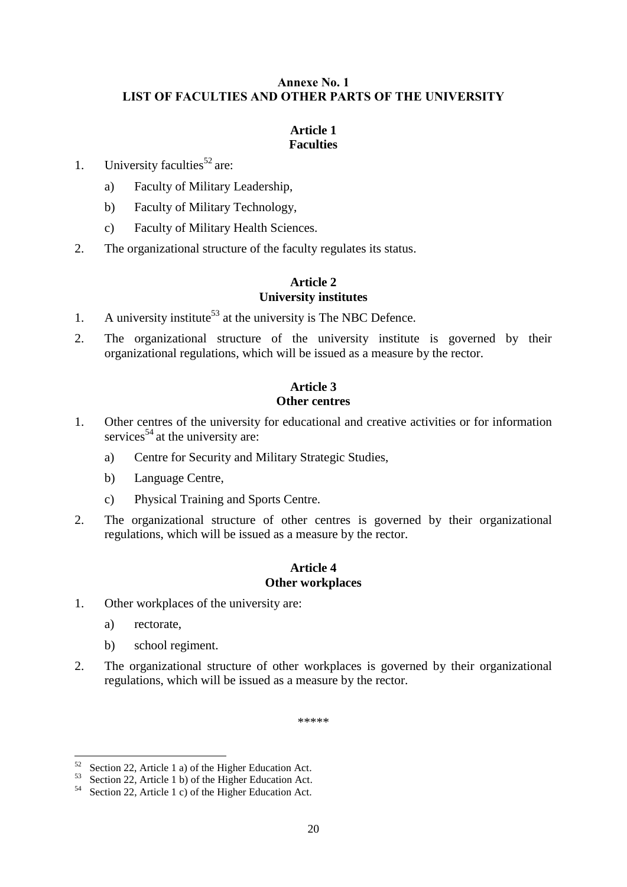# <span id="page-19-0"></span>Annexe No. 1 LIST OF FACULTIES AND OTHER PARTS OF THE UNIVERSITY

# **Article 1 Faculties**

<span id="page-19-1"></span>1. University faculties<sup>52</sup> are:

- a) Faculty of Military Leadership,
- b) Faculty of Military Technology,
- c) Faculty of Military Health Sciences.
- <span id="page-19-2"></span>2. The organizational structure of the faculty regulates its status.

## **Article 2 University institutes**

- 1. A university institute<sup>53</sup> at the university is The NBC Defence.
- <span id="page-19-3"></span>2. The organizational structure of the university institute is governed by their organizational regulations, which will be issued as a measure by the rector.

# **Article 3 Other centres**

- 1. Other centres of the university for educational and creative activities or for information services<sup>54</sup> at the university are:
	- a) Centre for Security and Military Strategic Studies,
	- b) Language Centre,
	- c) Physical Training and Sports Centre.
- <span id="page-19-4"></span>2. The organizational structure of other centres is governed by their organizational regulations, which will be issued as a measure by the rector.

### **Article 4 Other workplaces**

- 1. Other workplaces of the university are:
	- a) rectorate,

l

- b) school regiment.
- 2. The organizational structure of other workplaces is governed by their organizational regulations, which will be issued as a measure by the rector.

\*\*\*\*\*

 $52$  Section 22, Article 1 a) of the Higher Education Act.

<sup>53</sup> Section 22, Article 1 b) of the Higher Education Act.

<sup>54</sup> Section 22, Article 1 c) of the Higher Education Act.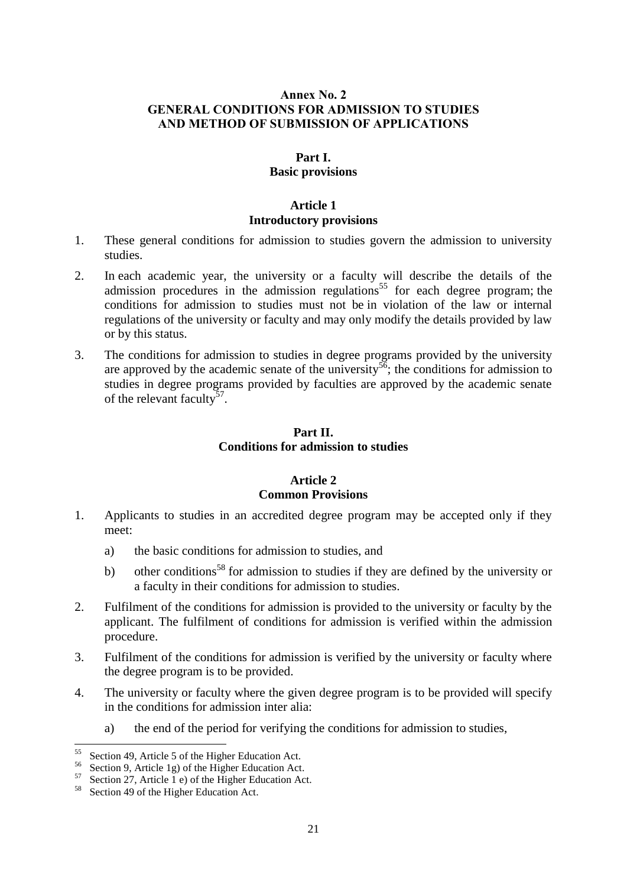# <span id="page-20-1"></span><span id="page-20-0"></span>Annex No. 2 GENERAL CONDITIONS FOR ADMISSION TO STUDIES AND METHOD OF SUBMISSION OF APPLICATIONS

#### **Part I.**

# **Basic provisions**

#### **Article 1**

#### **Introductory provisions**

- <span id="page-20-2"></span>1. These general conditions for admission to studies govern the admission to university studies.
- 2. In each academic year, the university or a faculty will describe the details of the admission procedures in the admission regulations<sup>55</sup> for each degree program; the conditions for admission to studies must not be in violation of the law or internal regulations of the university or faculty and may only modify the details provided by law or by this status.
- <span id="page-20-3"></span>3. The conditions for admission to studies in degree programs provided by the university are approved by the academic senate of the university<sup>56</sup>; the conditions for admission to studies in degree programs provided by faculties are approved by the academic senate of the relevant faculty<sup>57</sup>.

# **Part II. Conditions for admission to studies**

# **Article 2 Common Provisions**

- <span id="page-20-4"></span>1. Applicants to studies in an accredited degree program may be accepted only if they meet:
	- a) the basic conditions for admission to studies, and
	- b) other conditions<sup>58</sup> for admission to studies if they are defined by the university or a faculty in their conditions for admission to studies.
- 2. Fulfilment of the conditions for admission is provided to the university or faculty by the applicant. The fulfilment of conditions for admission is verified within the admission procedure.
- 3. Fulfilment of the conditions for admission is verified by the university or faculty where the degree program is to be provided.
- 4. The university or faculty where the given degree program is to be provided will specify in the conditions for admission inter alia:
	- a) the end of the period for verifying the conditions for admission to studies,

<sup>55</sup> Section 49, Article 5 of the Higher Education Act.

<sup>56</sup> Section 9, Article 1g) of the Higher Education Act.

<sup>&</sup>lt;sup>57</sup> Section 27, Article 1 e) of the Higher Education Act.

<sup>58</sup> Section 49 of the Higher Education Act.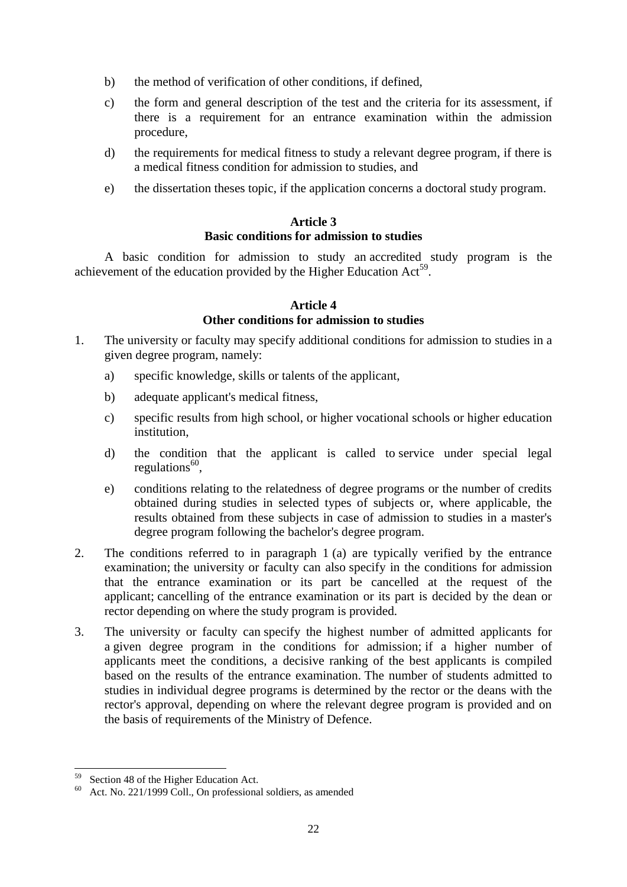- b) the method of verification of other conditions, if defined,
- c) the form and general description of the test and the criteria for its assessment, if there is a requirement for an entrance examination within the admission procedure,
- d) the requirements for medical fitness to study a relevant degree program, if there is a medical fitness condition for admission to studies, and
- <span id="page-21-0"></span>e) the dissertation theses topic, if the application concerns a doctoral study program.

#### **Article 3 Basic conditions for admission to studies**

<span id="page-21-1"></span>A basic condition for admission to study an accredited study program is the achievement of the education provided by the Higher Education Act<sup>59</sup>.

#### **Article 4 Other conditions for admission to studies**

- 1. The university or faculty may specify additional conditions for admission to studies in a given degree program, namely:
	- a) specific knowledge, skills or talents of the applicant,
	- b) adequate applicant's medical fitness,
	- c) specific results from high school, or higher vocational schools or higher education institution,
	- d) the condition that the applicant is called to service under special legal regulations<sup>60</sup>,
	- e) conditions relating to the relatedness of degree programs or the number of credits obtained during studies in selected types of subjects or, where applicable, the results obtained from these subjects in case of admission to studies in a master's degree program following the bachelor's degree program.
- 2. The conditions referred to in paragraph 1 (a) are typically verified by the entrance examination; the university or faculty can also specify in the conditions for admission that the entrance examination or its part be cancelled at the request of the applicant; cancelling of the entrance examination or its part is decided by the dean or rector depending on where the study program is provided.
- 3. The university or faculty can specify the highest number of admitted applicants for a given degree program in the conditions for admission; if a higher number of applicants meet the conditions, a decisive ranking of the best applicants is compiled based on the results of the entrance examination. The number of students admitted to studies in individual degree programs is determined by the rector or the deans with the rector's approval, depending on where the relevant degree program is provided and on the basis of requirements of the Ministry of Defence.

 $\overline{a}$ Section 48 of the Higher Education Act.

<sup>60</sup> Act. No. 221/1999 Coll., On professional soldiers, as amended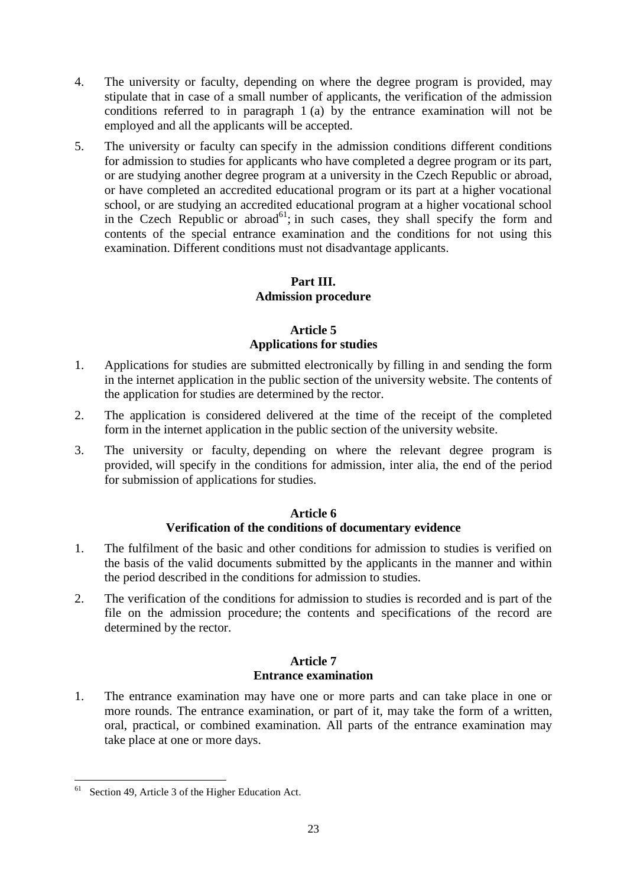- 4. The university or faculty, depending on where the degree program is provided, may stipulate that in case of a small number of applicants, the verification of the admission conditions referred to in paragraph 1 (a) by the entrance examination will not be employed and all the applicants will be accepted.
- 5. The university or faculty can specify in the admission conditions different conditions for admission to studies for applicants who have completed a degree program or its part, or are studying another degree program at a university in the Czech Republic or abroad, or have completed an accredited educational program or its part at a higher vocational school, or are studying an accredited educational program at a higher vocational school in the Czech Republic or abroad<sup>61</sup>; in such cases, they shall specify the form and contents of the special entrance examination and the conditions for not using this examination. Different conditions must not disadvantage applicants.

# **Part III. Admission procedure**

# **Article 5 Applications for studies**

- <span id="page-22-1"></span><span id="page-22-0"></span>1. Applications for studies are submitted electronically by filling in and sending the form in the internet application in the public section of the university website. The contents of the application for studies are determined by the rector.
- 2. The application is considered delivered at the time of the receipt of the completed form in the internet application in the public section of the university website.
- 3. The university or faculty, depending on where the relevant degree program is provided, will specify in the conditions for admission, inter alia, the end of the period for submission of applications for studies.

# **Article 6**

# **Verification of the conditions of documentary evidence**

- <span id="page-22-2"></span>1. The fulfilment of the basic and other conditions for admission to studies is verified on the basis of the valid documents submitted by the applicants in the manner and within the period described in the conditions for admission to studies.
- 2. The verification of the conditions for admission to studies is recorded and is part of the file on the admission procedure; the contents and specifications of the record are determined by the rector.

#### **Article 7 Entrance examination**

<span id="page-22-3"></span>1. The entrance examination may have one or more parts and can take place in one or more rounds. The entrance examination, or part of it, may take the form of a written, oral, practical, or combined examination. All parts of the entrance examination may take place at one or more days.

 $\overline{\phantom{a}}$ Section 49, Article 3 of the Higher Education Act.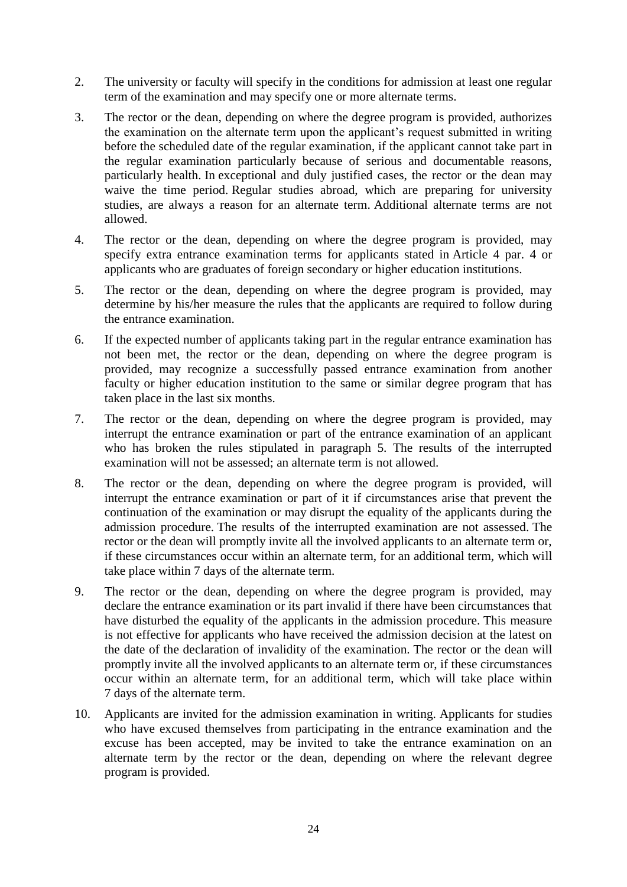- 2. The university or faculty will specify in the conditions for admission at least one regular term of the examination and may specify one or more alternate terms.
- 3. The rector or the dean, depending on where the degree program is provided, authorizes the examination on the alternate term upon the applicant's request submitted in writing before the scheduled date of the regular examination, if the applicant cannot take part in the regular examination particularly because of serious and documentable reasons, particularly health. In exceptional and duly justified cases, the rector or the dean may waive the time period. Regular studies abroad, which are preparing for university studies, are always a reason for an alternate term. Additional alternate terms are not allowed.
- 4. The rector or the dean, depending on where the degree program is provided, may specify extra entrance examination terms for applicants stated in Article 4 par. 4 or applicants who are graduates of foreign secondary or higher education institutions.
- 5. The rector or the dean, depending on where the degree program is provided, may determine by his/her measure the rules that the applicants are required to follow during the entrance examination.
- 6. If the expected number of applicants taking part in the regular entrance examination has not been met, the rector or the dean, depending on where the degree program is provided, may recognize a successfully passed entrance examination from another faculty or higher education institution to the same or similar degree program that has taken place in the last six months.
- 7. The rector or the dean, depending on where the degree program is provided, may interrupt the entrance examination or part of the entrance examination of an applicant who has broken the rules stipulated in paragraph 5. The results of the interrupted examination will not be assessed; an alternate term is not allowed.
- 8. The rector or the dean, depending on where the degree program is provided, will interrupt the entrance examination or part of it if circumstances arise that prevent the continuation of the examination or may disrupt the equality of the applicants during the admission procedure. The results of the interrupted examination are not assessed. The rector or the dean will promptly invite all the involved applicants to an alternate term or, if these circumstances occur within an alternate term, for an additional term, which will take place within 7 days of the alternate term.
- 9. The rector or the dean, depending on where the degree program is provided, may declare the entrance examination or its part invalid if there have been circumstances that have disturbed the equality of the applicants in the admission procedure. This measure is not effective for applicants who have received the admission decision at the latest on the date of the declaration of invalidity of the examination. The rector or the dean will promptly invite all the involved applicants to an alternate term or, if these circumstances occur within an alternate term, for an additional term, which will take place within 7 days of the alternate term.
- 10. Applicants are invited for the admission examination in writing. Applicants for studies who have excused themselves from participating in the entrance examination and the excuse has been accepted, may be invited to take the entrance examination on an alternate term by the rector or the dean, depending on where the relevant degree program is provided.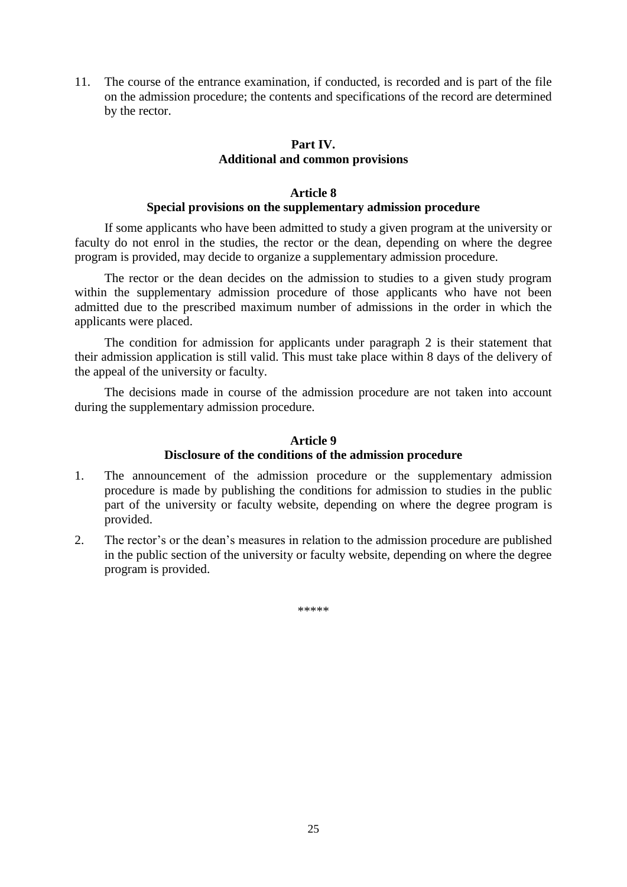<span id="page-24-0"></span>11. The course of the entrance examination, if conducted, is recorded and is part of the file on the admission procedure; the contents and specifications of the record are determined by the rector.

# **Part IV. Additional and common provisions**

## **Article 8**

#### **Special provisions on the supplementary admission procedure**

<span id="page-24-1"></span>If some applicants who have been admitted to study a given program at the university or faculty do not enrol in the studies, the rector or the dean, depending on where the degree program is provided, may decide to organize a supplementary admission procedure.

The rector or the dean decides on the admission to studies to a given study program within the supplementary admission procedure of those applicants who have not been admitted due to the prescribed maximum number of admissions in the order in which the applicants were placed.

The condition for admission for applicants under paragraph 2 is their statement that their admission application is still valid. This must take place within 8 days of the delivery of the appeal of the university or faculty.

<span id="page-24-2"></span>The decisions made in course of the admission procedure are not taken into account during the supplementary admission procedure.

#### **Article 9**

#### **Disclosure of the conditions of the admission procedure**

- 1. The announcement of the admission procedure or the supplementary admission procedure is made by publishing the conditions for admission to studies in the public part of the university or faculty website, depending on where the degree program is provided.
- 2. The rector's or the dean's measures in relation to the admission procedure are published in the public section of the university or faculty website, depending on where the degree program is provided.

\*\*\*\*\*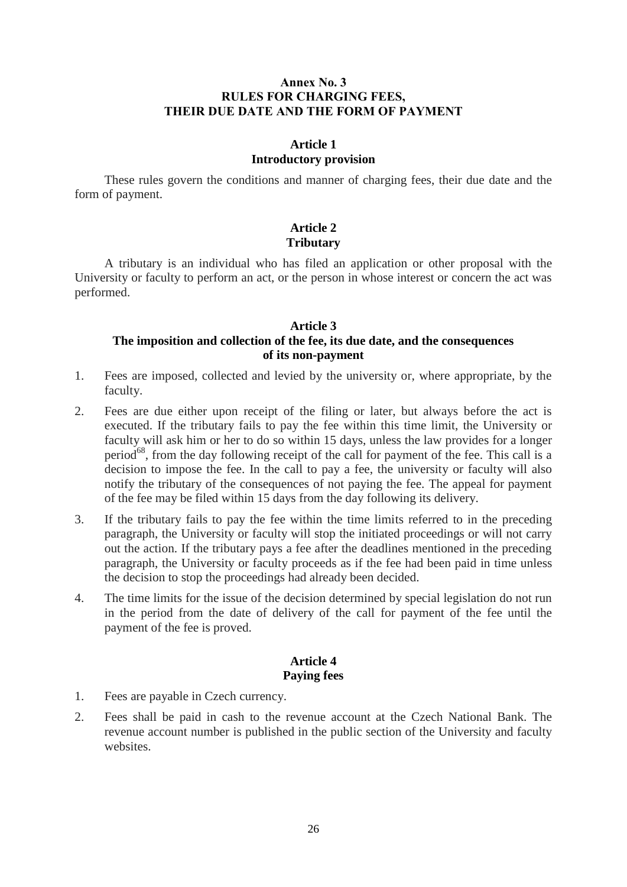# <span id="page-25-0"></span>Annex No. 3 RULES FOR CHARGING FEES, THEIR DUE DATE AND THE FORM OF PAYMENT

### **Article 1 Introductory provision**

<span id="page-25-1"></span>These rules govern the conditions and manner of charging fees, their due date and the form of payment.

# **Article 2 Tributary**

<span id="page-25-2"></span>A tributary is an individual who has filed an application or other proposal with the University or faculty to perform an act, or the person in whose interest or concern the act was performed.

#### **Article 3**

### <span id="page-25-3"></span>**The imposition and collection of the fee, its due date, and the consequences of its non-payment**

- 1. Fees are imposed, collected and levied by the university or, where appropriate, by the faculty.
- 2. Fees are due either upon receipt of the filing or later, but always before the act is executed. If the tributary fails to pay the fee within this time limit, the University or faculty will ask him or her to do so within 15 days, unless the law provides for a longer period<sup>68</sup>, from the day following receipt of the call for payment of the fee. This call is a decision to impose the fee. In the call to pay a fee, the university or faculty will also notify the tributary of the consequences of not paying the fee. The appeal for payment of the fee may be filed within 15 days from the day following its delivery.
- 3. If the tributary fails to pay the fee within the time limits referred to in the preceding paragraph, the University or faculty will stop the initiated proceedings or will not carry out the action. If the tributary pays a fee after the deadlines mentioned in the preceding paragraph, the University or faculty proceeds as if the fee had been paid in time unless the decision to stop the proceedings had already been decided.
- <span id="page-25-4"></span>4. The time limits for the issue of the decision determined by special legislation do not run in the period from the date of delivery of the call for payment of the fee until the payment of the fee is proved.

#### **Article 4 Paying fees**

- 1. Fees are payable in Czech currency.
- 2. Fees shall be paid in cash to the revenue account at the Czech National Bank. The revenue account number is published in the public section of the University and faculty websites.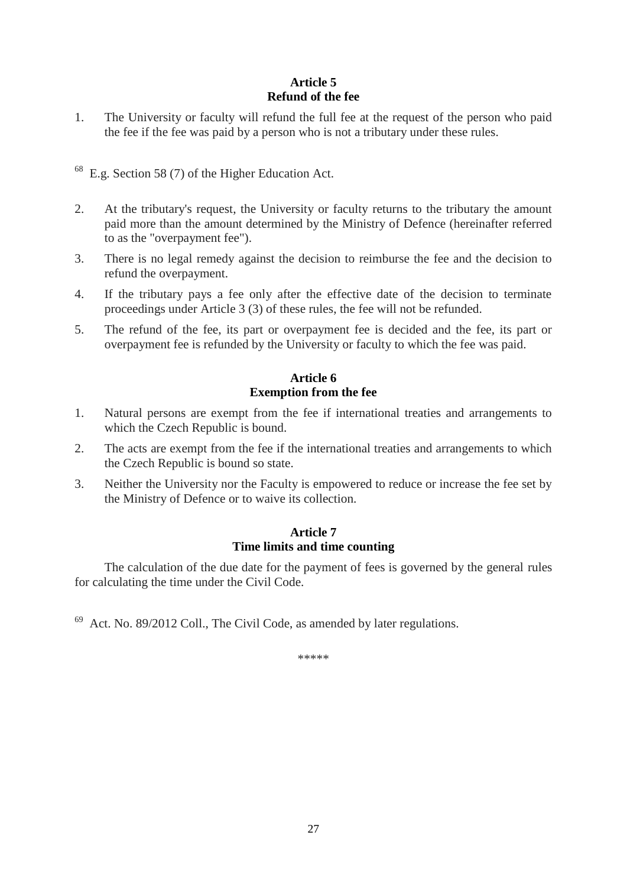# **Article 5 Refund of the fee**

<span id="page-26-0"></span>1. The University or faculty will refund the full fee at the request of the person who paid the fee if the fee was paid by a person who is not a tributary under these rules.

<sup>68</sup> E.g. Section 58 (7) of the Higher Education Act.

- 2. At the tributary's request, the University or faculty returns to the tributary the amount paid more than the amount determined by the Ministry of Defence (hereinafter referred to as the "overpayment fee").
- 3. There is no legal remedy against the decision to reimburse the fee and the decision to refund the overpayment.
- 4. If the tributary pays a fee only after the effective date of the decision to terminate proceedings under Article 3 (3) of these rules, the fee will not be refunded.
- <span id="page-26-1"></span>5. The refund of the fee, its part or overpayment fee is decided and the fee, its part or overpayment fee is refunded by the University or faculty to which the fee was paid.

# **Article 6 Exemption from the fee**

- 1. Natural persons are exempt from the fee if international treaties and arrangements to which the Czech Republic is bound.
- 2. The acts are exempt from the fee if the international treaties and arrangements to which the Czech Republic is bound so state.
- <span id="page-26-2"></span>3. Neither the University nor the Faculty is empowered to reduce or increase the fee set by the Ministry of Defence or to waive its collection.

# **Article 7 Time limits and time counting**

The calculation of the due date for the payment of fees is governed by the general rules for calculating the time under the Civil Code.

<sup>69</sup> Act. No. 89/2012 Coll., The Civil Code, as amended by later regulations.

\*\*\*\*\*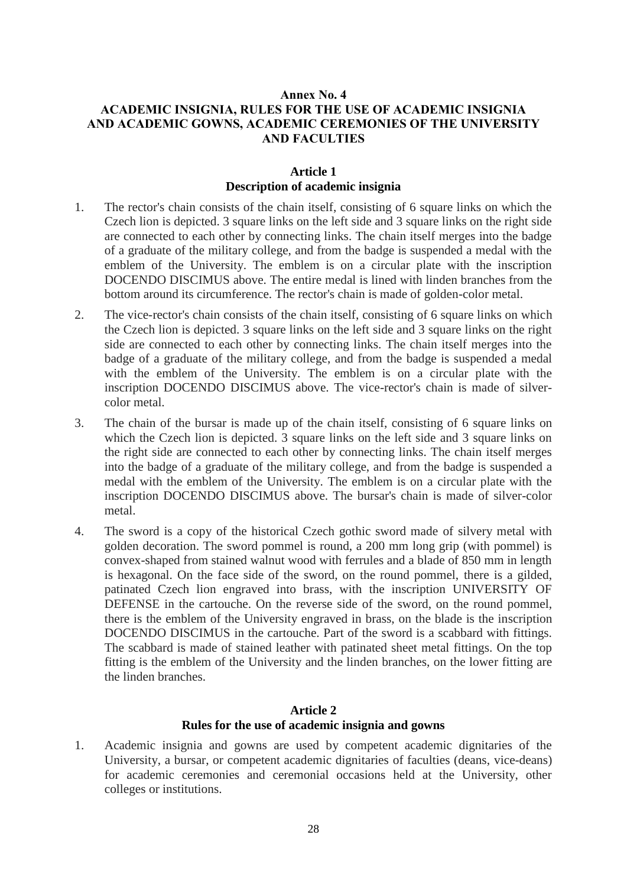# <span id="page-27-0"></span>Annex No. 4 ACADEMIC INSIGNIA, RULES FOR THE USE OF ACADEMIC INSIGNIA AND ACADEMIC GOWNS, ACADEMIC CEREMONIES OF THE UNIVERSITY AND FACULTIES

## **Article 1 Description of academic insignia**

- <span id="page-27-1"></span>1. The rector's chain consists of the chain itself, consisting of 6 square links on which the Czech lion is depicted. 3 square links on the left side and 3 square links on the right side are connected to each other by connecting links. The chain itself merges into the badge of a graduate of the military college, and from the badge is suspended a medal with the emblem of the University. The emblem is on a circular plate with the inscription DOCENDO DISCIMUS above. The entire medal is lined with linden branches from the bottom around its circumference. The rector's chain is made of golden-color metal.
- 2. The vice-rector's chain consists of the chain itself, consisting of 6 square links on which the Czech lion is depicted. 3 square links on the left side and 3 square links on the right side are connected to each other by connecting links. The chain itself merges into the badge of a graduate of the military college, and from the badge is suspended a medal with the emblem of the University. The emblem is on a circular plate with the inscription DOCENDO DISCIMUS above. The vice-rector's chain is made of silvercolor metal.
- 3. The chain of the bursar is made up of the chain itself, consisting of 6 square links on which the Czech lion is depicted. 3 square links on the left side and 3 square links on the right side are connected to each other by connecting links. The chain itself merges into the badge of a graduate of the military college, and from the badge is suspended a medal with the emblem of the University. The emblem is on a circular plate with the inscription DOCENDO DISCIMUS above. The bursar's chain is made of silver-color metal.
- 4. The sword is a copy of the historical Czech gothic sword made of silvery metal with golden decoration. The sword pommel is round, a 200 mm long grip (with pommel) is convex-shaped from stained walnut wood with ferrules and a blade of 850 mm in length is hexagonal. On the face side of the sword, on the round pommel, there is a gilded, patinated Czech lion engraved into brass, with the inscription UNIVERSITY OF DEFENSE in the cartouche. On the reverse side of the sword, on the round pommel, there is the emblem of the University engraved in brass, on the blade is the inscription DOCENDO DISCIMUS in the cartouche. Part of the sword is a scabbard with fittings. The scabbard is made of stained leather with patinated sheet metal fittings. On the top fitting is the emblem of the University and the linden branches, on the lower fitting are the linden branches.

#### **Article 2 Rules for the use of academic insignia and gowns**

<span id="page-27-2"></span>1. Academic insignia and gowns are used by competent academic dignitaries of the University, a bursar, or competent academic dignitaries of faculties (deans, vice-deans) for academic ceremonies and ceremonial occasions held at the University, other colleges or institutions.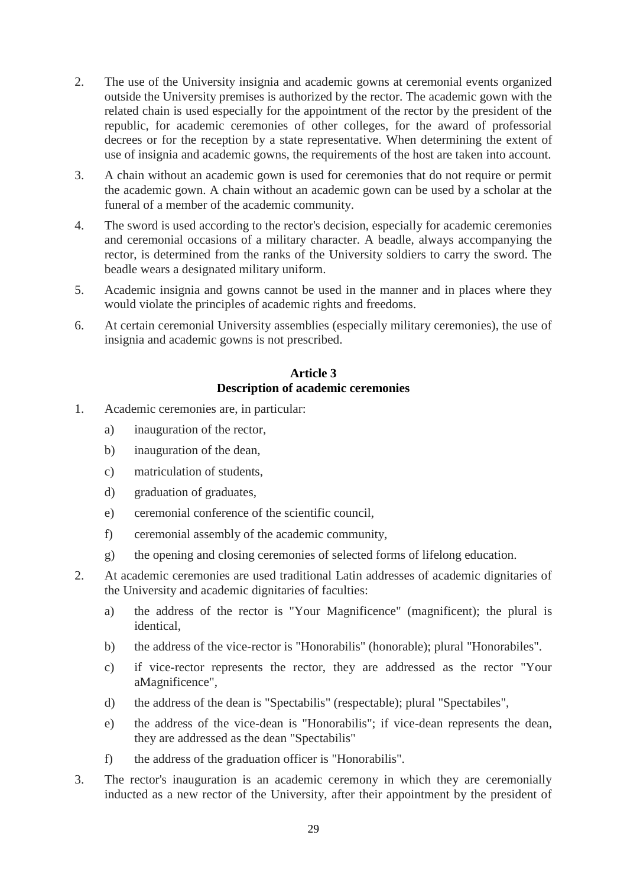- 2. The use of the University insignia and academic gowns at ceremonial events organized outside the University premises is authorized by the rector. The academic gown with the related chain is used especially for the appointment of the rector by the president of the republic, for academic ceremonies of other colleges, for the award of professorial decrees or for the reception by a state representative. When determining the extent of use of insignia and academic gowns, the requirements of the host are taken into account.
- 3. A chain without an academic gown is used for ceremonies that do not require or permit the academic gown. A chain without an academic gown can be used by a scholar at the funeral of a member of the academic community.
- 4. The sword is used according to the rector's decision, especially for academic ceremonies and ceremonial occasions of a military character. A beadle, always accompanying the rector, is determined from the ranks of the University soldiers to carry the sword. The beadle wears a designated military uniform.
- 5. Academic insignia and gowns cannot be used in the manner and in places where they would violate the principles of academic rights and freedoms.
- <span id="page-28-0"></span>6. At certain ceremonial University assemblies (especially military ceremonies), the use of insignia and academic gowns is not prescribed.

# **Article 3 Description of academic ceremonies**

- 1. Academic ceremonies are, in particular:
	- a) inauguration of the rector,
	- b) inauguration of the dean,
	- c) matriculation of students,
	- d) graduation of graduates,
	- e) ceremonial conference of the scientific council,
	- f) ceremonial assembly of the academic community,
	- g) the opening and closing ceremonies of selected forms of lifelong education.
- 2. At academic ceremonies are used traditional Latin addresses of academic dignitaries of the University and academic dignitaries of faculties:
	- a) the address of the rector is "Your Magnificence" (magnificent); the plural is identical,
	- b) the address of the vice-rector is "Honorabilis" (honorable); plural "Honorabiles".
	- c) if vice-rector represents the rector, they are addressed as the rector "Your aMagnificence",
	- d) the address of the dean is "Spectabilis" (respectable); plural "Spectabiles",
	- e) the address of the vice-dean is "Honorabilis"; if vice-dean represents the dean, they are addressed as the dean "Spectabilis"
	- f) the address of the graduation officer is "Honorabilis".
- 3. The rector's inauguration is an academic ceremony in which they are ceremonially inducted as a new rector of the University, after their appointment by the president of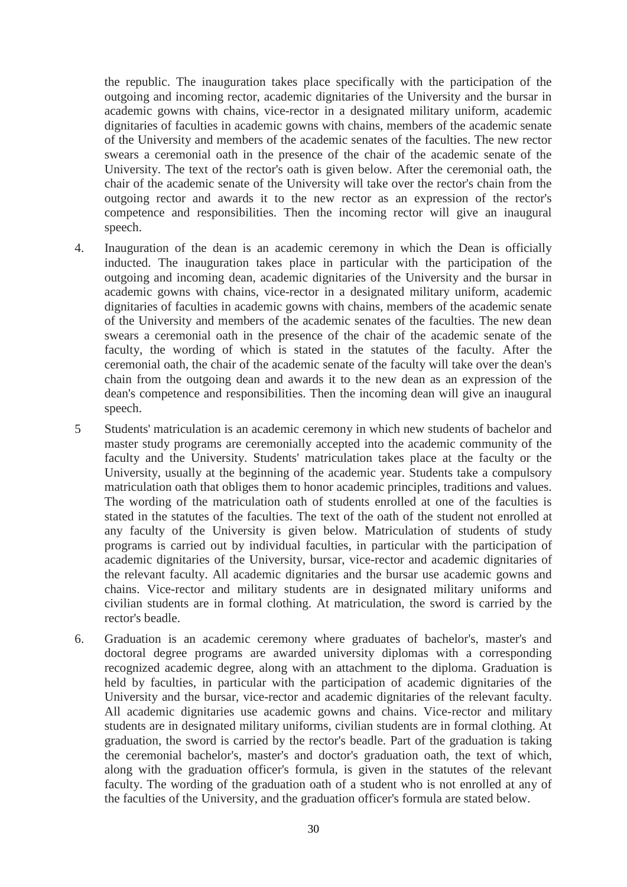the republic. The inauguration takes place specifically with the participation of the outgoing and incoming rector, academic dignitaries of the University and the bursar in academic gowns with chains, vice-rector in a designated military uniform, academic dignitaries of faculties in academic gowns with chains, members of the academic senate of the University and members of the academic senates of the faculties. The new rector swears a ceremonial oath in the presence of the chair of the academic senate of the University. The text of the rector's oath is given below. After the ceremonial oath, the chair of the academic senate of the University will take over the rector's chain from the outgoing rector and awards it to the new rector as an expression of the rector's competence and responsibilities. Then the incoming rector will give an inaugural speech.

- 4. Inauguration of the dean is an academic ceremony in which the Dean is officially inducted. The inauguration takes place in particular with the participation of the outgoing and incoming dean, academic dignitaries of the University and the bursar in academic gowns with chains, vice-rector in a designated military uniform, academic dignitaries of faculties in academic gowns with chains, members of the academic senate of the University and members of the academic senates of the faculties. The new dean swears a ceremonial oath in the presence of the chair of the academic senate of the faculty, the wording of which is stated in the statutes of the faculty. After the ceremonial oath, the chair of the academic senate of the faculty will take over the dean's chain from the outgoing dean and awards it to the new dean as an expression of the dean's competence and responsibilities. Then the incoming dean will give an inaugural speech.
- 5 Students' matriculation is an academic ceremony in which new students of bachelor and master study programs are ceremonially accepted into the academic community of the faculty and the University. Students' matriculation takes place at the faculty or the University, usually at the beginning of the academic year. Students take a compulsory matriculation oath that obliges them to honor academic principles, traditions and values. The wording of the matriculation oath of students enrolled at one of the faculties is stated in the statutes of the faculties. The text of the oath of the student not enrolled at any faculty of the University is given below. Matriculation of students of study programs is carried out by individual faculties, in particular with the participation of academic dignitaries of the University, bursar, vice-rector and academic dignitaries of the relevant faculty. All academic dignitaries and the bursar use academic gowns and chains. Vice-rector and military students are in designated military uniforms and civilian students are in formal clothing. At matriculation, the sword is carried by the rector's beadle.
- 6. Graduation is an academic ceremony where graduates of bachelor's, master's and doctoral degree programs are awarded university diplomas with a corresponding recognized academic degree, along with an attachment to the diploma. Graduation is held by faculties, in particular with the participation of academic dignitaries of the University and the bursar, vice-rector and academic dignitaries of the relevant faculty. All academic dignitaries use academic gowns and chains. Vice-rector and military students are in designated military uniforms, civilian students are in formal clothing. At graduation, the sword is carried by the rector's beadle. Part of the graduation is taking the ceremonial bachelor's, master's and doctor's graduation oath, the text of which, along with the graduation officer's formula, is given in the statutes of the relevant faculty. The wording of the graduation oath of a student who is not enrolled at any of the faculties of the University, and the graduation officer's formula are stated below.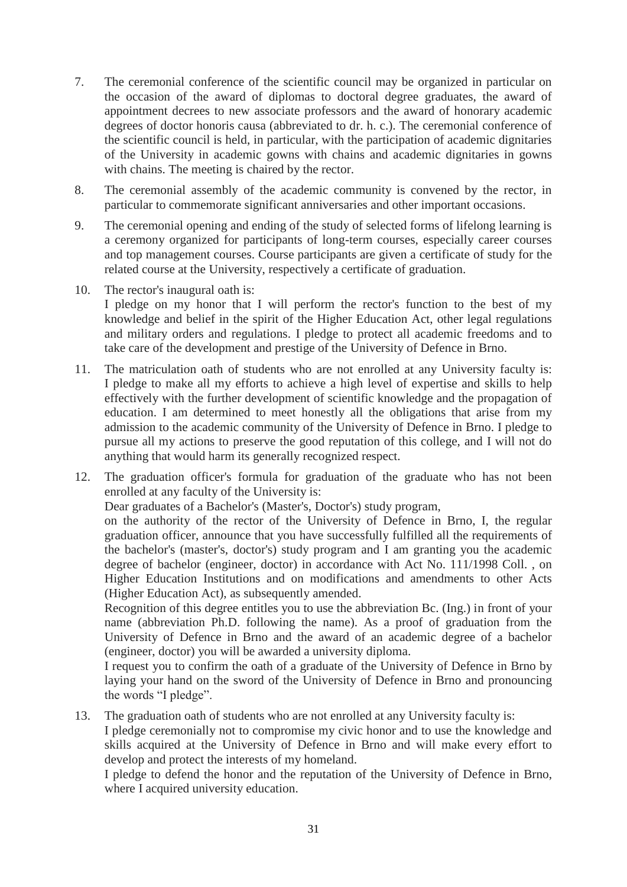- 7. The ceremonial conference of the scientific council may be organized in particular on the occasion of the award of diplomas to doctoral degree graduates, the award of appointment decrees to new associate professors and the award of honorary academic degrees of doctor honoris causa (abbreviated to dr. h. c.). The ceremonial conference of the scientific council is held, in particular, with the participation of academic dignitaries of the University in academic gowns with chains and academic dignitaries in gowns with chains. The meeting is chaired by the rector.
- 8. The ceremonial assembly of the academic community is convened by the rector, in particular to commemorate significant anniversaries and other important occasions.
- 9. The ceremonial opening and ending of the study of selected forms of lifelong learning is a ceremony organized for participants of long-term courses, especially career courses and top management courses. Course participants are given a certificate of study for the related course at the University, respectively a certificate of graduation.
- 10. The rector's inaugural oath is:

I pledge on my honor that I will perform the rector's function to the best of my knowledge and belief in the spirit of the Higher Education Act, other legal regulations and military orders and regulations. I pledge to protect all academic freedoms and to take care of the development and prestige of the University of Defence in Brno.

- 11. The matriculation oath of students who are not enrolled at any University faculty is: I pledge to make all my efforts to achieve a high level of expertise and skills to help effectively with the further development of scientific knowledge and the propagation of education. I am determined to meet honestly all the obligations that arise from my admission to the academic community of the University of Defence in Brno. I pledge to pursue all my actions to preserve the good reputation of this college, and I will not do anything that would harm its generally recognized respect.
- 12. The graduation officer's formula for graduation of the graduate who has not been enrolled at any faculty of the University is:

Dear graduates of a Bachelor's (Master's, Doctor's) study program,

on the authority of the rector of the University of Defence in Brno, I, the regular graduation officer, announce that you have successfully fulfilled all the requirements of the bachelor's (master's, doctor's) study program and I am granting you the academic degree of bachelor (engineer, doctor) in accordance with Act No. 111/1998 Coll. , on Higher Education Institutions and on modifications and amendments to other Acts (Higher Education Act), as subsequently amended.

Recognition of this degree entitles you to use the abbreviation Bc. (Ing.) in front of your name (abbreviation Ph.D. following the name). As a proof of graduation from the University of Defence in Brno and the award of an academic degree of a bachelor (engineer, doctor) you will be awarded a university diploma.

I request you to confirm the oath of a graduate of the University of Defence in Brno by laying your hand on the sword of the University of Defence in Brno and pronouncing the words "I pledge".

13. The graduation oath of students who are not enrolled at any University faculty is:

I pledge ceremonially not to compromise my civic honor and to use the knowledge and skills acquired at the University of Defence in Brno and will make every effort to develop and protect the interests of my homeland.

I pledge to defend the honor and the reputation of the University of Defence in Brno, where I acquired university education.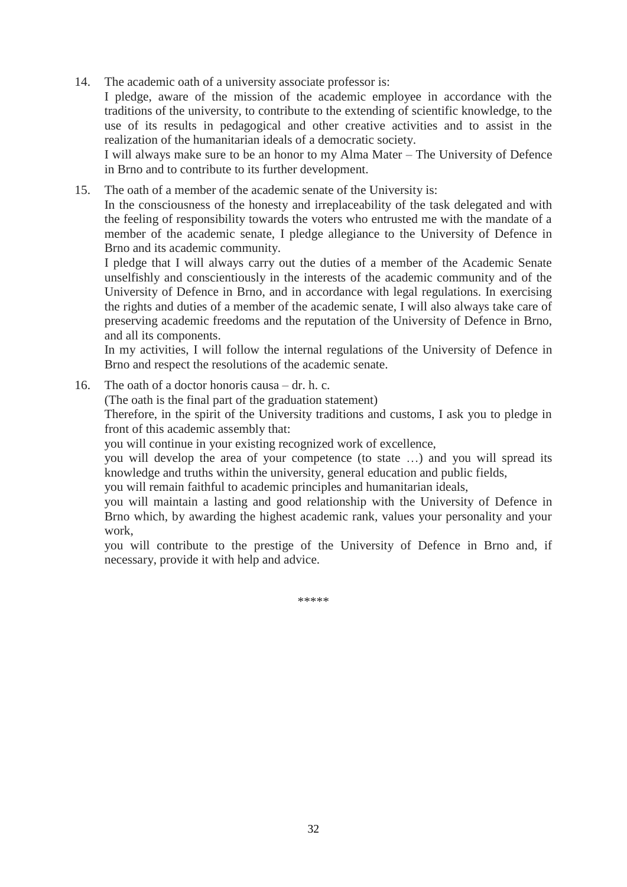14. The academic oath of a university associate professor is:

I pledge, aware of the mission of the academic employee in accordance with the traditions of the university, to contribute to the extending of scientific knowledge, to the use of its results in pedagogical and other creative activities and to assist in the realization of the humanitarian ideals of a democratic society.

I will always make sure to be an honor to my Alma Mater – The University of Defence in Brno and to contribute to its further development.

15. The oath of a member of the academic senate of the University is:

In the consciousness of the honesty and irreplaceability of the task delegated and with the feeling of responsibility towards the voters who entrusted me with the mandate of a member of the academic senate, I pledge allegiance to the University of Defence in Brno and its academic community.

I pledge that I will always carry out the duties of a member of the Academic Senate unselfishly and conscientiously in the interests of the academic community and of the University of Defence in Brno, and in accordance with legal regulations. In exercising the rights and duties of a member of the academic senate, I will also always take care of preserving academic freedoms and the reputation of the University of Defence in Brno, and all its components.

In my activities, I will follow the internal regulations of the University of Defence in Brno and respect the resolutions of the academic senate.

16. The oath of a doctor honoris causa – dr. h. c.

(The oath is the final part of the graduation statement)

Therefore, in the spirit of the University traditions and customs, I ask you to pledge in front of this academic assembly that:

you will continue in your existing recognized work of excellence,

you will develop the area of your competence (to state …) and you will spread its knowledge and truths within the university, general education and public fields,

you will remain faithful to academic principles and humanitarian ideals,

you will maintain a lasting and good relationship with the University of Defence in Brno which, by awarding the highest academic rank, values your personality and your work,

you will contribute to the prestige of the University of Defence in Brno and, if necessary, provide it with help and advice.

\*\*\*\*\*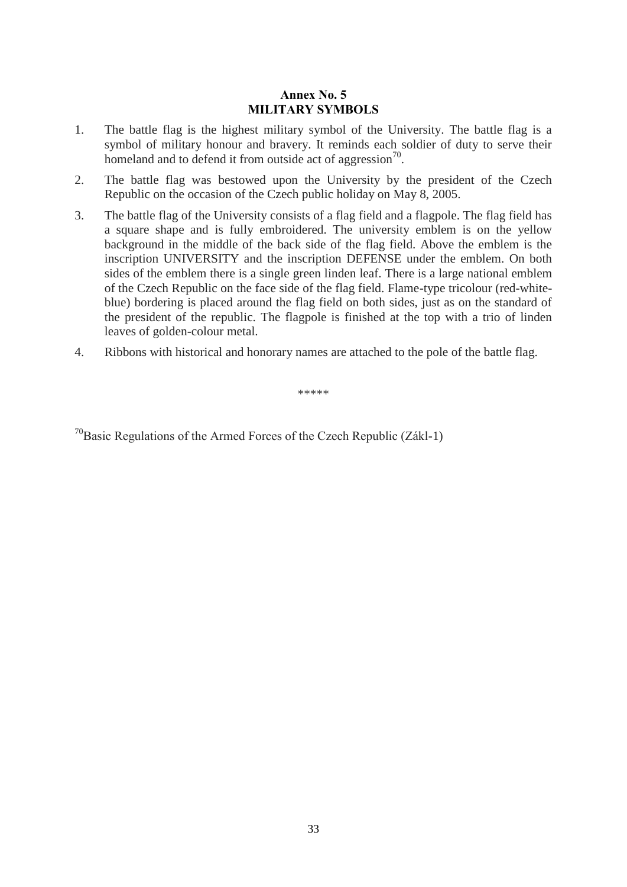# Annex No. 5 MILITARY SYMBOLS

- <span id="page-32-0"></span>1. The battle flag is the highest military symbol of the University. The battle flag is a symbol of military honour and bravery. It reminds each soldier of duty to serve their homeland and to defend it from outside act of aggression $^{70}$ .
- 2. The battle flag was bestowed upon the University by the president of the Czech Republic on the occasion of the Czech public holiday on May 8, 2005.
- 3. The battle flag of the University consists of a flag field and a flagpole. The flag field has a square shape and is fully embroidered. The university emblem is on the yellow background in the middle of the back side of the flag field. Above the emblem is the inscription UNIVERSITY and the inscription DEFENSE under the emblem. On both sides of the emblem there is a single green linden leaf. There is a large national emblem of the Czech Republic on the face side of the flag field. Flame-type tricolour (red-whiteblue) bordering is placed around the flag field on both sides, just as on the standard of the president of the republic. The flagpole is finished at the top with a trio of linden leaves of golden-colour metal.
- 4. Ribbons with historical and honorary names are attached to the pole of the battle flag.

\*\*\*\*\*

 $70B$ asic Regulations of the Armed Forces of the Czech Republic (Zákl-1)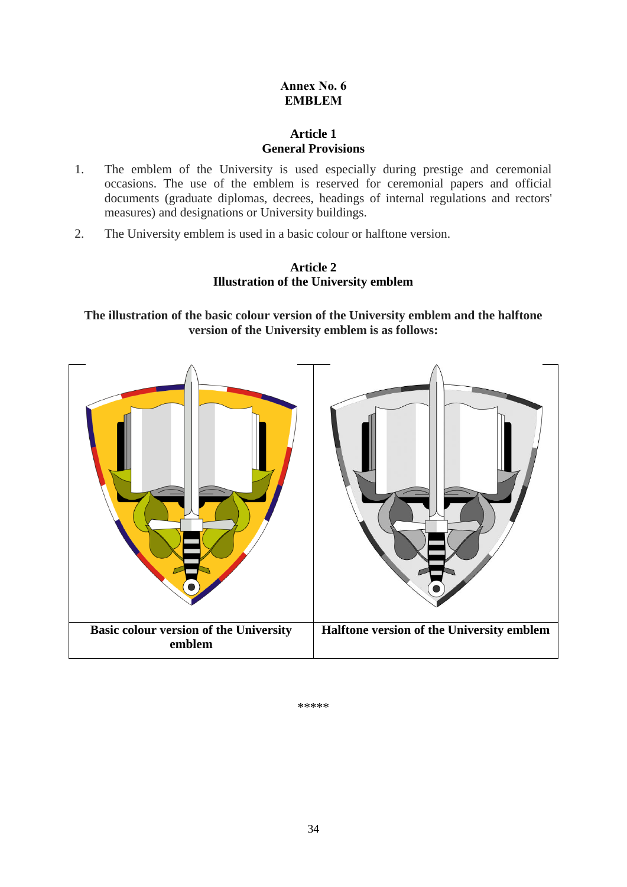# Annex No. 6 EMBLEM

# **Article 1 General Provisions**

- <span id="page-33-1"></span><span id="page-33-0"></span>1. The emblem of the University is used especially during prestige and ceremonial occasions. The use of the emblem is reserved for ceremonial papers and official documents (graduate diplomas, decrees, headings of internal regulations and rectors' measures) and designations or University buildings.
- <span id="page-33-2"></span>2. The University emblem is used in a basic colour or halftone version.

# **Article 2 Illustration of the University emblem**

**The illustration of the basic colour version of the University emblem and the halftone version of the University emblem is as follows:**



\*\*\*\*\*